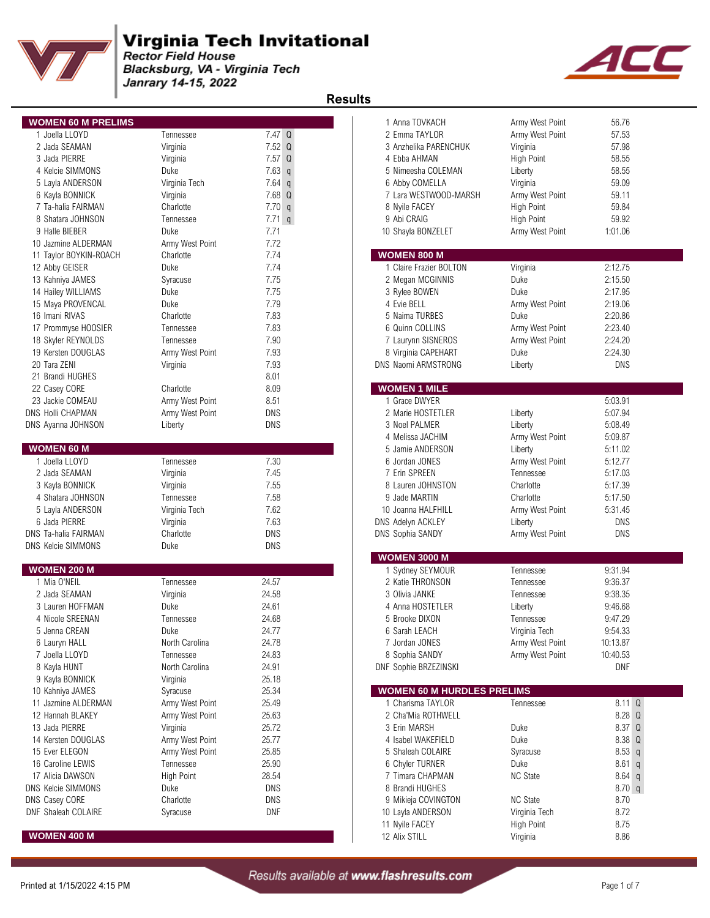

Blacksburg, VA - Virginia Tech Janrary 14-15, 2022



| <b>WOMEN 60 M PRELIMS</b> |                   |                      | 1 Anna TOVKACH                    | Army West Point   | 56.76             |
|---------------------------|-------------------|----------------------|-----------------------------------|-------------------|-------------------|
| 1 Joella LLOYD            | Tennessee         | 7.47 Q               | 2 Emma TAYLOR                     | Army West Point   | 57.53             |
| 2 Jada SEAMAN             | Virginia          | $7.52$ Q             | 3 Anzhelika PARENCHUK             | Virginia          | 57.98             |
| 3 Jada PIERRE             | Virginia          | 7.57Q                | 4 Ebba AHMAN                      | <b>High Point</b> | 58.55             |
| 4 Kelcie SIMMONS          | Duke              | 7.63<br>$\mathsf{q}$ | 5 Nimeesha COLEMAN                | Liberty           | 58.55             |
| 5 Layla ANDERSON          | Virginia Tech     | 7.64<br>$\mathsf{q}$ | 6 Abby COMELLA                    | Virginia          | 59.09             |
| 6 Kayla BONNICK           | Virginia          | 7.68 Q               | 7 Lara WESTWOOD-MARSH             | Army West Point   | 59.11             |
| 7 Ta-halia FAIRMAN        | Charlotte         | 7.70q                | 8 Nyile FACEY                     | <b>High Point</b> | 59.84             |
| 8 Shatara JOHNSON         | Tennessee         | $7.71$ q             | 9 Abi CRAIG                       | <b>High Point</b> | 59.92             |
| 9 Halle BIEBER            | Duke              | 7.71                 |                                   |                   | 1:01.06           |
|                           |                   | 7.72                 | 10 Shayla BONZELET                | Army West Point   |                   |
| 10 Jazmine ALDERMAN       | Army West Point   |                      | <b>WOMEN 800 M</b>                |                   |                   |
| 11 Taylor BOYKIN-ROACH    | Charlotte         | 7.74<br>7.74         | 1 Claire Frazier BOLTON           |                   | 2:12.75           |
| 12 Abby GEISER            | Duke              |                      |                                   | Virginia          |                   |
| 13 Kahniya JAMES          | Syracuse          | 7.75                 | 2 Megan MCGINNIS                  | Duke              | 2:15.50           |
| 14 Hailey WILLIAMS        | Duke              | 7.75                 | 3 Rylee BOWEN                     | Duke              | 2:17.95           |
| 15 Maya PROVENCAL         | Duke              | 7.79                 | 4 Evie BELL                       | Army West Point   | 2:19.06           |
| 16 Imani RIVAS            | Charlotte         | 7.83                 | 5 Naima TURBES                    | Duke              | 2:20.86           |
| 17 Prommyse HOOSIER       | Tennessee         | 7.83                 | 6 Quinn COLLINS                   | Army West Point   | 2:23.40           |
| 18 Skyler REYNOLDS        | Tennessee         | 7.90                 | 7 Laurynn SISNEROS                | Army West Point   | 2:24.20           |
| 19 Kersten DOUGLAS        | Army West Point   | 7.93                 | 8 Virginia CAPEHART               | Duke              | 2:24.30           |
| 20 Tara ZENI              | Virginia          | 7.93                 | <b>DNS Naomi ARMSTRONG</b>        | Liberty           | <b>DNS</b>        |
| 21 Brandi HUGHES          |                   | 8.01                 |                                   |                   |                   |
| 22 Casey CORE             | Charlotte         | 8.09                 | <b>WOMEN 1 MILE</b>               |                   |                   |
| 23 Jackie COMEAU          | Army West Point   | 8.51                 | 1 Grace DWYER                     |                   | 5:03.91           |
| DNS Holli CHAPMAN         | Army West Point   | DNS                  | 2 Marie HOSTETLER                 | Liberty           | 5:07.94           |
| DNS Ayanna JOHNSON        | Liberty           | <b>DNS</b>           | 3 Noel PALMER                     | Liberty           | 5:08.49           |
|                           |                   |                      | 4 Melissa JACHIM                  | Army West Point   | 5:09.87           |
| <b>WOMEN 60 M</b>         |                   |                      | 5 Jamie ANDERSON                  | Liberty           | 5:11.02           |
| 1 Joella LLOYD            | Tennessee         | 7.30                 | 6 Jordan JONES                    | Army West Point   | 5:12.77           |
| 2 Jada SEAMAN             | Virginia          | 7.45                 | 7 Erin SPREEN                     | Tennessee         | 5:17.03           |
| 3 Kayla BONNICK           | Virginia          | 7.55                 | 8 Lauren JOHNSTON                 | Charlotte         | 5:17.39           |
| 4 Shatara JOHNSON         | Tennessee         | 7.58                 | 9 Jade MARTIN                     | Charlotte         | 5:17.50           |
| 5 Layla ANDERSON          | Virginia Tech     | 7.62                 | 10 Joanna HALFHILL                | Army West Point   | 5:31.45           |
| 6 Jada PIERRE             | Virginia          | 7.63                 | DNS Adelyn ACKLEY                 | Liberty           | <b>DNS</b>        |
| DNS Ta-halia FAIRMAN      | Charlotte         | <b>DNS</b>           | DNS Sophia SANDY                  | Army West Point   | <b>DNS</b>        |
| DNS Kelcie SIMMONS        | Duke              | <b>DNS</b>           |                                   |                   |                   |
|                           |                   |                      | <b>WOMEN 3000 M</b>               |                   |                   |
| <b>WOMEN 200 M</b>        |                   |                      | 1 Sydney SEYMOUR                  | Tennessee         | 9:31.94           |
| 1 Mia O'NEIL              | Tennessee         | 24.57                | 2 Katie THRONSON                  | Tennessee         | 9:36.37           |
| 2 Jada SEAMAN             | Virginia          | 24.58                | 3 Olivia JANKE                    | Tennessee         | 9:38.35           |
| 3 Lauren HOFFMAN          | Duke              | 24.61                | 4 Anna HOSTETLER                  | Liberty           | 9:46.68           |
| 4 Nicole SREENAN          | Tennessee         | 24.68                | 5 Brooke DIXON                    | Tennessee         | 9:47.29           |
| 5 Jenna CREAN             | Duke              | 24.77                | 6 Sarah LEACH                     | Virginia Tech     | 9:54.33           |
| 6 Lauryn HALL             | North Carolina    | 24.78                | 7 Jordan JONES                    | Army West Point   | 10:13.87          |
| 7 Joella LLOYD            | Tennessee         | 24.83                | 8 Sophia SANDY                    | Army West Point   | 10:40.53          |
| 8 Kayla HUNT              | North Carolina    | 24.91                | DNF Sophie BRZEZINSKI             |                   | DNF               |
| 9 Kayla BONNICK           | Virginia          | 25.18                |                                   |                   |                   |
| 10 Kahniya JAMES          | Syracuse          | 25.34                | <b>WOMEN 60 M HURDLES PRELIMS</b> |                   |                   |
| 11 Jazmine ALDERMAN       | Army West Point   | 25.49                | 1 Charisma TAYLOR                 | Tennessee         | 8.11 <sup>°</sup> |
| 12 Hannah BLAKEY          | Army West Point   | 25.63                | 2 Cha'Mia ROTHWELL                |                   | 8.28 Q            |
| 13 Jada PIERRE            | Virginia          | 25.72                | 3 Erin MARSH                      | Duke              | 8.37 Q            |
| 14 Kersten DOUGLAS        | Army West Point   | 25.77                | 4 Isabel WAKEFIELD                | Duke              | 8.38 Q            |
| 15 Ever ELEGON            | Army West Point   | 25.85                | 5 Shaleah COLAIRE                 | Syracuse          | $8.53$ q          |
| 16 Caroline LEWIS         | Tennessee         | 25.90                | 6 Chyler TURNER                   | Duke              | $8.61$ q          |
| 17 Alicia DAWSON          | <b>High Point</b> | 28.54                | 7 Timara CHAPMAN                  | <b>NC State</b>   | $8.64$ q          |
| <b>DNS Kelcie SIMMONS</b> | Duke              | DNS                  | 8 Brandi HUGHES                   |                   | 8.70q             |
| DNS Casey CORE            | Charlotte         | <b>DNS</b>           | 9 Mikieja COVINGTON               | <b>NC State</b>   | 8.70              |
| DNF Shaleah COLAIRE       | Syracuse          | DNF                  | 10 Layla ANDERSON                 | Virginia Tech     | 8.72              |
|                           |                   |                      | 11 Nyile FACEY                    | <b>High Point</b> | 8.75              |
|                           |                   |                      |                                   | Virninia          |                   |

| <b>WOMEN 60 M PRELIMS</b>         |                             |                      | 1 Anna TOVKACH                               | Army West Point            | 56.76        |
|-----------------------------------|-----------------------------|----------------------|----------------------------------------------|----------------------------|--------------|
| 1 Joella LLOYD                    | Tennessee                   | $7.47\quadOmega$     | 2 Emma TAYLOR                                | Army West Point            | 57.53        |
| 2 Jada SEAMAN                     | Virginia                    | $7.52$ Q             | 3 Anzhelika PARENCHUK                        | Virginia                   | 57.98        |
| 3 Jada PIERRE                     | Virginia                    | $7.57$ Q             | 4 Ebba AHMAN                                 | <b>High Point</b>          | 58.55        |
| 4 Kelcie SIMMONS                  | Duke                        | 7.63<br>$\mathsf{q}$ | 5 Nimeesha COLEMAN                           | Liberty                    | 58.55        |
| 5 Layla ANDERSON                  | Virginia Tech               | 7.64<br>$\mathsf{q}$ | 6 Abby COMELLA                               | Virginia                   | 59.09        |
| 6 Kayla BONNICK                   | Virginia                    | 7.68<br>Q            | 7 Lara WESTWOOD-MARSH                        | Army West Point            | 59.11        |
| 7 Ta-halia FAIRMAN                | Charlotte                   | 7.70<br>$\mathsf{q}$ | 8 Nyile FACEY                                | <b>High Point</b>          | 59.84        |
| 8 Shatara JOHNSON                 | Tennessee                   | $7.71$ q             | 9 Abi CRAIG                                  | <b>High Point</b>          | 59.92        |
| 9 Halle BIEBER                    | Duke                        | 7.71                 | 10 Shayla BONZELET                           | Army West Point            | 1:01.06      |
| 10 Jazmine ALDERMAN               | Army West Point             | 7.72                 |                                              |                            |              |
| 11 Taylor BOYKIN-ROACH            | Charlotte                   | 7.74                 | <b>WOMEN 800 M</b>                           |                            |              |
| 12 Abby GEISER                    | Duke                        | 7.74                 | 1 Claire Frazier BOLTON                      | Virginia                   | 2:12.75      |
| 13 Kahniya JAMES                  | Syracuse                    | 7.75                 | 2 Megan MCGINNIS                             | Duke                       | 2:15.50      |
| 14 Hailey WILLIAMS                | Duke                        | 7.75                 | 3 Rylee BOWEN                                | Duke                       | 2:17.95      |
| 15 Maya PROVENCAL                 | Duke                        | 7.79                 | 4 Evie BELL                                  | Army West Point            | 2:19.06      |
| 16 Imani RIVAS                    | Charlotte                   | 7.83                 | 5 Naima TURBES                               | Duke                       | 2:20.86      |
| 17 Prommyse HOOSIER               | Tennessee                   | 7.83                 | 6 Quinn COLLINS                              | Army West Point            | 2:23.40      |
| 18 Skyler REYNOLDS                | Tennessee                   | 7.90                 | 7 Laurynn SISNEROS                           | Army West Point            | 2:24.20      |
| 19 Kersten DOUGLAS                | Army West Point             | 7.93                 | 8 Virginia CAPEHART                          | Duke                       | 2:24.30      |
| 20 Tara ZENI                      | Virginia                    | 7.93                 | DNS Naomi ARMSTRONG                          | Liberty                    | <b>DNS</b>   |
| 21 Brandi HUGHES                  |                             | 8.01                 |                                              |                            |              |
| 22 Casey CORE                     | Charlotte                   | 8.09                 | <b>WOMEN 1 MILE</b>                          |                            |              |
| 23 Jackie COMEAU                  | Army West Point             | 8.51                 | 1 Grace DWYER                                |                            | 5:03.91      |
| DNS Holli CHAPMAN                 | Army West Point             | <b>DNS</b>           | 2 Marie HOSTETLER                            | Liberty                    | 5:07.94      |
| DNS Ayanna JOHNSON                | Liberty                     | <b>DNS</b>           | 3 Noel PALMER                                | Liberty                    | 5:08.49      |
|                                   |                             |                      | 4 Melissa JACHIM                             | Army West Point            | 5:09.87      |
| <b>WOMEN 60 M</b>                 |                             |                      | 5 Jamie ANDERSON                             | Liberty                    | 5:11.02      |
| 1 Joella LLOYD                    | Tennessee                   | 7.30                 | 6 Jordan JONES                               | Army West Point            | 5:12.77      |
| 2 Jada SEAMAN                     |                             | 7.45                 | 7 Erin SPREEN                                | Tennessee                  | 5:17.03      |
| 3 Kayla BONNICK                   | Virginia<br>Virginia        | 7.55                 | 8 Lauren JOHNSTON                            | Charlotte                  | 5:17.39      |
| 4 Shatara JOHNSON                 | Tennessee                   | 7.58                 | 9 Jade MARTIN                                | Charlotte                  | 5:17.50      |
|                                   | Virginia Tech               | 7.62                 | 10 Joanna HALFHILL                           |                            | 5:31.45      |
| 5 Layla ANDERSON<br>6 Jada PIERRE |                             | 7.63                 |                                              | Army West Point<br>Liberty | <b>DNS</b>   |
| DNS Ta-halia FAIRMAN              | Virginia<br>Charlotte       | <b>DNS</b>           | DNS Adelyn ACKLEY<br><b>DNS Sophia SANDY</b> |                            | <b>DNS</b>   |
| <b>DNS Kelcie SIMMONS</b>         | Duke                        | DNS                  |                                              | Army West Point            |              |
|                                   |                             |                      | <b>WOMEN 3000 M</b>                          |                            |              |
| <b>WOMEN 200 M</b>                |                             |                      | 1 Sydney SEYMOUR                             | Tennessee                  | 9:31.94      |
| 1 Mia O'NEIL                      | Tennessee                   | 24.57                | 2 Katie THRONSON                             | Tennessee                  | 9:36.37      |
| 2 Jada SEAMAN                     | Virginia                    | 24.58                | 3 Olivia JANKE                               | Tennessee                  | 9:38.35      |
| 3 Lauren HOFFMAN                  | Duke                        | 24.61                | 4 Anna HOSTETLER                             | Liberty                    | 9:46.68      |
| 4 Nicole SREENAN                  | Tennessee                   | 24.68                | 5 Brooke DIXON                               | Tennessee                  | 9:47.29      |
| 5 Jenna CREAN                     | Duke                        | 24.77                | 6 Sarah LEACH                                | Virginia Tech              | 9:54.33      |
| 6 Lauryn HALL                     | North Carolina              | 24.78                | 7 Jordan JONES                               | Army West Point            | 10:13.87     |
| 7 Joella LLOYD                    | Tennessee                   | 24.83                | 8 Sophia SANDY                               | Army West Point            | 10:40.53     |
| 8 Kayla HUNT                      | North Carolina              | 24.91                | DNF Sophie BRZEZINSKI                        |                            | DNF          |
| 9 Kayla BONNICK                   | Virginia                    | 25.18                |                                              |                            |              |
| 10 Kahniya JAMES                  | Syracuse                    | 25.34                | <b>WOMEN 60 M HURDLES PRELIMS</b>            |                            |              |
| 11 Jazmine ALDERMAN               | Army West Point             | 25.49                | 1 Charisma TAYLOR                            | Tennessee                  | 8.11 Q       |
| 12 Hannah BLAKEY                  | Army West Point             | 25.63                | 2 Cha'Mia ROTHWELL                           |                            | 8.28 Q       |
| 13 Jada PIERRE                    |                             | 25.72                | 3 Erin MARSH                                 | Duke                       | 8.37 Q       |
| 14 Kersten DOUGLAS                | Virginia<br>Army West Point | 25.77                | 4 Isabel WAKEFIELD                           | Duke                       | 8.38 Q       |
| 15 Ever ELEGON                    | Army West Point             | 25.85                | 5 Shaleah COLAIRE                            |                            | 8.53 q       |
|                                   |                             | 25.90                | 6 Chyler TURNER                              | Syracuse                   |              |
| 16 Caroline LEWIS                 | Tennessee                   |                      |                                              | Duke                       | $8.61$ q     |
| 17 Alicia DAWSON                  | High Point                  | 28.54                | 7 Timara CHAPMAN                             | <b>NC State</b>            | $8.64$ q     |
| DNS Kelcie SIMMONS                | Duke                        | <b>DNS</b>           | 8 Brandi HUGHES                              |                            | 8.70 q       |
| DNS Casey CORE                    | Charlotte                   | <b>DNS</b>           | 9 Mikieja COVINGTON                          | <b>NC State</b>            | 8.70         |
| DNF Shaleah COLAIRE               | Syracuse                    | <b>DNF</b>           | 10 Layla ANDERSON                            | Virginia Tech              | 8.72         |
| <b>WOMEN 400 M</b>                |                             |                      | 11 Nyile FACEY                               | High Point                 | 8.75<br>8.86 |
|                                   |                             |                      | 12 Alix STILL                                | Virginia                   |              |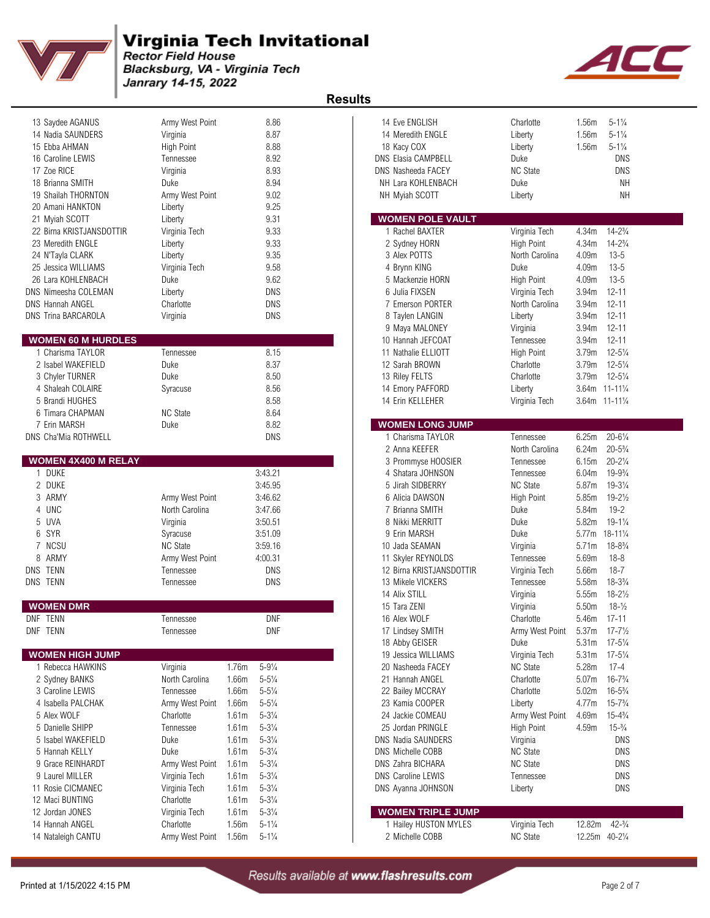

Blacksburg, VA - Virginia Tech Janrary 14-15, 2022



| 13 Saydee AGANUS                    | Army West Point                    |                                         | 8.86       | 14 Eve ENGLISH                                 | Charlotte                    | 1.56m             | $5 - 1\frac{1}{4}$   |
|-------------------------------------|------------------------------------|-----------------------------------------|------------|------------------------------------------------|------------------------------|-------------------|----------------------|
| 14 Nadia SAUNDERS                   | Virginia                           |                                         | 8.87       | 14 Meredith ENGLE                              | Liberty                      | 1.56m             | $5 - 1\frac{1}{4}$   |
| 15 Ebba AHMAN                       | High Point                         |                                         | 8.88       | 18 Kacy COX                                    | Liberty                      | 1.56m             | $5 - 1\frac{1}{4}$   |
| 16 Caroline LEWIS                   | Tennessee                          |                                         | 8.92       | <b>DNS Elasia CAMPBELL</b>                     | Duke                         |                   | <b>DNS</b>           |
| 17 Zoe RICE                         | Virginia                           |                                         | 8.93       | <b>DNS Nasheeda FACEY</b>                      | <b>NC State</b>              |                   | <b>DNS</b>           |
| 18 Brianna SMITH                    | Duke                               |                                         | 8.94       | NH Lara KOHLENBACH                             | Duke                         |                   | NH                   |
| 19 Shailah THORNTON                 | Army West Point                    |                                         | 9.02       | NH Myiah SCOTT                                 | Liberty                      |                   | NΗ                   |
| 20 Amani HANKTON                    | Liberty                            |                                         | 9.25       |                                                |                              |                   |                      |
| 21 Myiah SCOTT                      | Liberty                            |                                         | 9.31       | <b>WOMEN POLE VAULT</b>                        |                              |                   |                      |
| 22 Birna KRISTJANSDOTTIR            | Virginia Tech                      |                                         | 9.33       | 1 Rachel BAXTER                                | Virginia Tech                | 4.34m             | $14 - 2\frac{3}{4}$  |
| 23 Meredith ENGLE                   | Liberty                            |                                         | 9.33       | 2 Sydney HORN                                  | <b>High Point</b>            | 4.34m             | $14 - 2\frac{3}{4}$  |
| 24 N'Tayla CLARK                    | Liberty                            |                                         | 9.35       | 3 Alex POTTS                                   | North Carolina               | 4.09m             | $13 - 5$             |
| 25 Jessica WILLIAMS                 | Virginia Tech                      |                                         | 9.58       | 4 Brynn KING                                   | Duke                         | 4.09m             | $13 - 5$             |
| 26 Lara KOHLENBACH                  | Duke                               |                                         | 9.62       | 5 Mackenzie HORN                               | <b>High Point</b>            | 4.09m             | $13 - 5$             |
| DNS Nimeesha COLEMAN                | Liberty                            |                                         | <b>DNS</b> | 6 Julia FIXSEN                                 | Virginia Tech                | 3.94m             | $12 - 11$            |
| <b>DNS Hannah ANGEL</b>             | Charlotte                          |                                         | <b>DNS</b> | 7 Emerson PORTER                               | North Carolina               | 3.94m             | $12 - 11$            |
| <b>DNS Trina BARCAROLA</b>          | Virginia                           |                                         | <b>DNS</b> | 8 Taylen LANGIN                                | Liberty                      | 3.94m             | $12 - 11$            |
|                                     |                                    |                                         |            | 9 Maya MALONEY                                 | Virginia                     | 3.94m             | $12 - 11$            |
| <b>WOMEN 60 M HURDLES</b>           |                                    |                                         |            | 10 Hannah JEFCOAT                              | Tennessee                    | 3.94m             | $12 - 11$            |
| 1 Charisma TAYLOR                   | Tennessee                          |                                         | 8.15       | 11 Nathalie ELLIOTT                            | <b>High Point</b>            | 3.79m             | $12 - 5\frac{1}{4}$  |
| 2 Isabel WAKEFIELD                  | Duke                               |                                         | 8.37       | 12 Sarah BROWN                                 | Charlotte                    | 3.79m             | $12 - 5\frac{1}{4}$  |
| 3 Chyler TURNER                     | Duke                               |                                         | 8.50       | 13 Riley FELTS                                 | Charlotte                    | 3.79m             | $12 - 5\frac{1}{4}$  |
| 4 Shaleah COLAIRE                   |                                    |                                         | 8.56       | 14 Emory PAFFORD                               | Liberty                      | 3.64m             | $11 - 11\frac{1}{4}$ |
|                                     | Syracuse                           |                                         | 8.58       |                                                |                              |                   | 3.64m 11-111/4       |
| 5 Brandi HUGHES<br>6 Timara CHAPMAN | <b>NC State</b>                    |                                         | 8.64       | 14 Erin KELLEHER                               | Virginia Tech                |                   |                      |
| 7 Erin MARSH                        | Duke                               |                                         | 8.82       | <b>WOMEN LONG JUMP</b>                         |                              |                   |                      |
| DNS Cha'Mia ROTHWELL                |                                    |                                         | <b>DNS</b> | 1 Charisma TAYLOR                              | Tennessee                    | 6.25m             | $20 - 6\frac{1}{4}$  |
|                                     |                                    |                                         |            | 2 Anna KEEFER                                  | North Carolina               | 6.24m             | $20 - 5\frac{3}{4}$  |
| <b>WOMEN 4X400 M RELAY</b>          |                                    |                                         |            |                                                |                              | 6.15m             | $20 - 2\frac{1}{4}$  |
| 1 DUKE                              |                                    | 3:43.21                                 |            | 3 Prommyse HOOSIER                             | Tennessee                    | 6.04m             | $19 - 9\frac{3}{4}$  |
| 2 DUKE                              |                                    | 3:45.95                                 |            | 4 Shatara JOHNSON<br>5 Jirah SIDBERRY          | Tennessee<br><b>NC State</b> | 5.87m             | $19 - 3\frac{1}{4}$  |
| 3 ARMY                              |                                    | 3:46.62                                 |            |                                                |                              | 5.85m             | $19 - 2\frac{1}{2}$  |
| 4 UNC                               | Army West Point<br>North Carolina  | 3:47.66                                 |            | 6 Alicia DAWSON<br>7 Brianna SMITH             | <b>High Point</b><br>Duke    | 5.84m             | $19 - 2$             |
| 5 UVA                               |                                    | 3:50.51                                 |            | 8 Nikki MERRITT                                | Duke                         | 5.82m             | $19 - 1\frac{1}{4}$  |
| 6 SYR                               | Virginia                           |                                         |            | 9 Erin MARSH                                   | Duke                         |                   | $18 - 11\frac{1}{4}$ |
|                                     | Syracuse                           | 3:51.09<br>3:59.16                      |            |                                                |                              | 5.77m             | $18 - 8\frac{3}{4}$  |
| 7 NCSU<br>8 ARMY                    | <b>NC State</b><br>Army West Point | 4:00.31                                 |            | 10 Jada SEAMAN                                 | Virginia                     | 5.71m<br>5.69m    | $18 - 8$             |
| DNS TENN                            | Tennessee                          |                                         | <b>DNS</b> | 11 Skyler REYNOLDS<br>12 Birna KRISTJANSDOTTIR | Tennessee<br>Virginia Tech   | 5.66m             | $18 - 7$             |
| DNS TENN                            | Tennessee                          |                                         | DNS        | 13 Mikele VICKERS                              | Tennessee                    | 5.58m             | $18 - 3\frac{3}{4}$  |
|                                     |                                    |                                         |            | 14 Alix STILL                                  | Virginia                     | 5.55m             | $18 - 2\frac{1}{2}$  |
| <b>WOMEN DMR</b>                    |                                    |                                         |            | 15 Tara ZENI                                   | Virginia                     | 5.50m             | $18 - \frac{1}{2}$   |
| DNF TENN                            | Tennessee                          |                                         | <b>DNF</b> | 16 Alex WOLF                                   | Charlotte                    | 5.46m             | $17 - 11$            |
| DNF TENN                            | Tennessee                          |                                         | DNF        | 17 Lindsey SMITH                               | Army West Point              | 5.37m             | $17 - 7\frac{1}{2}$  |
|                                     |                                    |                                         |            | 18 Abby GEISER                                 | Duke                         | 5.31m             | $17 - 5\frac{1}{4}$  |
| <b>WOMEN HIGH JUMP</b>              |                                    |                                         |            | 19 Jessica WILLIAMS                            | Virginia Tech                | 5.31 <sub>m</sub> | $17 - 5\frac{1}{4}$  |
| 1 Rebecca HAWKINS                   | Virginia                           | 1.76m<br>$5 - 9\frac{1}{4}$             |            | 20 Nasheeda FACEY                              | <b>NC State</b>              | 5.28m             | $17 - 4$             |
| 2 Sydney BANKS                      | North Carolina                     | 1.66m<br>$5 - 5\frac{1}{4}$             |            | 21 Hannah ANGEL                                | Charlotte                    | 5.07m             | $16 - 7\frac{3}{4}$  |
| 3 Caroline LEWIS                    | Tennessee                          | $5 - 5\frac{1}{4}$<br>1.66m             |            | 22 Bailey MCCRAY                               | Charlotte                    | 5.02m             | $16 - 5\frac{3}{4}$  |
| 4 Isabella PALCHAK                  | Army West Point                    | $5 - 5\frac{1}{4}$<br>1.66m             |            | 23 Kamia COOPER                                | Liberty                      | 4.77m             | $15 - 7\frac{3}{4}$  |
| 5 Alex WOLF                         | Charlotte                          | $5 - 3\frac{1}{4}$<br>1.61m             |            | 24 Jackie COMEAU                               | Army West Point              | 4.69m             | $15 - 4\frac{3}{4}$  |
| 5 Danielle SHIPP                    | Tennessee                          | 1.61 <sub>m</sub><br>$5 - 3\frac{1}{4}$ |            | 25 Jordan PRINGLE                              | <b>High Point</b>            | 4.59m             | $15 - \frac{3}{4}$   |
| 5 Isabel WAKEFIELD                  | Duke                               | $5 - 3\frac{1}{4}$<br>1.61m             |            | DNS Nadia SAUNDERS                             | Virginia                     |                   | <b>DNS</b>           |
| 5 Hannah KELLY                      | Duke                               | $5 - 3\frac{1}{4}$<br>1.61m             |            | DNS Michelle COBB                              | <b>NC State</b>              |                   | <b>DNS</b>           |
| 9 Grace REINHARDT                   | Army West Point                    | $5 - 3\frac{1}{4}$<br>1.61m             |            | DNS Zahra BICHARA                              | <b>NC State</b>              |                   | <b>DNS</b>           |
| 9 Laurel MILLER                     |                                    | 1.61m<br>$5 - 3\frac{1}{4}$             |            | <b>DNS Caroline LEWIS</b>                      | Tennessee                    |                   | <b>DNS</b>           |
| 11 Rosie CICMANEC                   | Virginia Tech                      | $5 - 3\frac{1}{4}$<br>1.61m             |            |                                                | Liberty                      |                   | <b>DNS</b>           |
| 12 Maci BUNTING                     | Virginia Tech<br>Charlotte         | $5 - 3\frac{1}{4}$<br>1.61m             |            | DNS Ayanna JOHNSON                             |                              |                   |                      |
| 12 Jordan JONES                     |                                    | $5 - 3\frac{1}{4}$<br>1.61m             |            | <b>WOMEN TRIPLE JUMP</b>                       |                              |                   |                      |
| 14 Hannah ANGEL                     | Virginia Tech<br>Charlotte         | 1.56m<br>$5 - 1\frac{1}{4}$             |            | 1 Hailey HUSTON MYLES                          | Virginia Tech                | 12.82m            | $42 - \frac{3}{4}$   |
|                                     |                                    |                                         |            |                                                |                              |                   |                      |
| 14 Nataleigh CANTU                  | Army West Point                    | 1.56m<br>$5 - 1\frac{1}{4}$             |            | 2 Michelle COBB                                | <b>NC State</b>              |                   | 12.25m 40-21/4       |

| 14 Eve ENGLISH<br>14 Meredith ENGLE<br>18 Kacy COX<br>ONS Elasia CAMPBELL<br>DNS Nasheeda FACEY<br>NH Lara KOHLENBACH<br>NH Myiah SCOTT | Charlotte<br>Liberty<br>Liberty<br>Duke<br><b>NC State</b><br>Duke<br>Liberty | 1.56 <sub>m</sub><br>1.56m<br>1.56 <sub>m</sub> | $5 - 1\frac{1}{4}$<br>$5 - 1\frac{1}{4}$<br>$5 - 1\frac{1}{4}$<br>DNS<br>DNS<br>NΗ<br>NΗ |  |
|-----------------------------------------------------------------------------------------------------------------------------------------|-------------------------------------------------------------------------------|-------------------------------------------------|------------------------------------------------------------------------------------------|--|
| <b>WOMEN POLE VAULT</b><br>1 Rachel BAXTER                                                                                              |                                                                               | 4.34m                                           | $14 - 2\frac{3}{4}$                                                                      |  |
| 2 Sydney HORN                                                                                                                           | Virginia Tech<br>High Point                                                   | 4.34m                                           | $14 - 2\frac{3}{4}$                                                                      |  |
| 3 Alex POTTS                                                                                                                            | North Carolina                                                                | 4.09m                                           | $13 - 5$                                                                                 |  |
| 4 Brynn KING                                                                                                                            | Duke                                                                          | 4.09m                                           | $13 - 5$                                                                                 |  |
| 5 Mackenzie HORN                                                                                                                        | <b>High Point</b>                                                             | 4.09m                                           | 13-5                                                                                     |  |
| 6 Julia FIXSEN                                                                                                                          | Virginia Tech                                                                 | 3.94m                                           | $12 - 11$                                                                                |  |
| 7 Emerson PORTER                                                                                                                        | North Carolina                                                                | 3.94m                                           | $12 - 11$                                                                                |  |
| 8 Taylen LANGIN                                                                                                                         | Liberty                                                                       | 3.94m                                           | $12 - 11$                                                                                |  |
| 9 Maya MALONEY                                                                                                                          | Virginia                                                                      | 3.94m                                           | $12 - 11$                                                                                |  |
| 10 Hannah JEFCOAT                                                                                                                       | Tennessee                                                                     | 3.94m                                           | $12 - 11$                                                                                |  |
| 11 Nathalie ELLIOTT<br>12 Sarah BROWN                                                                                                   | High Point<br>Charlotte                                                       | 3.79m<br>3.79m                                  | $12 - 5\frac{1}{4}$<br>$12 - 5\frac{1}{4}$                                               |  |
| 13 Riley FELTS                                                                                                                          | Charlotte                                                                     | 3.79m                                           | $12 - 5\frac{1}{4}$                                                                      |  |
| 14 Emory PAFFORD                                                                                                                        | Liberty                                                                       |                                                 | 3.64m 11-111/4                                                                           |  |
| 14 Erin KELLEHER                                                                                                                        | Virginia Tech                                                                 |                                                 | 3.64m 11-111/4                                                                           |  |
|                                                                                                                                         |                                                                               |                                                 |                                                                                          |  |
| <b>WOMEN LONG JUMP</b>                                                                                                                  |                                                                               |                                                 |                                                                                          |  |
| 1 Charisma TAYLOR                                                                                                                       | Tennessee                                                                     | 6.25m                                           | $20 - 6\frac{1}{4}$                                                                      |  |
| 2 Anna KEEFER<br>3 Prommyse HOOSIER                                                                                                     | North Carolina<br>Tennessee                                                   | 6.24m<br>6.15m                                  | $20 - 5\frac{3}{4}$<br>$20 - 2\frac{1}{4}$                                               |  |
| 4 Shatara JOHNSON                                                                                                                       | Tennessee                                                                     | 6.04m                                           | $19 - 9\frac{3}{4}$                                                                      |  |
| 5 Jirah SIDBERRY                                                                                                                        | <b>NC State</b>                                                               | 5.87m                                           | $19 - 3\frac{1}{4}$                                                                      |  |
| 6 Alicia DAWSON                                                                                                                         | High Point                                                                    | 5.85m                                           | $19 - 2\frac{1}{2}$                                                                      |  |
| 7 Brianna SMITH                                                                                                                         | Duke                                                                          | 5.84m                                           | $19 - 2$                                                                                 |  |
| 8 Nikki MERRITT                                                                                                                         | Duke                                                                          | 5.82m                                           | $19 - 1\frac{1}{4}$                                                                      |  |
| 9 Erin MARSH                                                                                                                            | Duke                                                                          |                                                 | 5.77m 18-111/4                                                                           |  |
| 10 Jada SEAMAN                                                                                                                          | Virginia                                                                      | 5.71m                                           | $18 - 8\frac{3}{4}$                                                                      |  |
| 11 Skyler REYNOLDS                                                                                                                      | Tennessee                                                                     | 5.69m                                           | $18 - 8$                                                                                 |  |
| 12 Birna KRISTJANSDOTTIR<br>13 Mikele VICKERS                                                                                           | Virginia Tech<br>Tennessee                                                    | 5.66m<br>5.58m                                  | 18-7<br>$18 - 3\frac{3}{4}$                                                              |  |
| 14 Alix STILL                                                                                                                           | Virginia                                                                      | 5.55m                                           | $18 - 2\frac{1}{2}$                                                                      |  |
| 15 Tara ZENI                                                                                                                            | Virginia                                                                      | 5.50 <sub>m</sub>                               | $18 - \frac{1}{2}$                                                                       |  |
| 16 Alex WOLF                                                                                                                            | Charlotte                                                                     | 5.46m                                           | 17-11                                                                                    |  |
| 17 Lindsey SMITH                                                                                                                        | Army West Point                                                               | 5.37m                                           | $17 - 7\frac{1}{2}$                                                                      |  |
| 18 Abby GEISER                                                                                                                          | Duke                                                                          | 5.31 <sub>m</sub>                               | $17 - 5\frac{1}{4}$                                                                      |  |
| 19 Jessica WILLIAMS                                                                                                                     | Virginia Tech                                                                 | 5.31 <sub>m</sub>                               | $17 - 5\frac{1}{4}$                                                                      |  |
| 20 Nasheeda FACEY                                                                                                                       | <b>NC State</b>                                                               | 5.28m                                           | $17 - 4$                                                                                 |  |
| 21 Hannah ANGEL                                                                                                                         | Charlotte                                                                     | 5.07 <sub>m</sub>                               | $16 - 7\frac{3}{4}$                                                                      |  |
| 22 Bailey MCCRAY<br>23 Kamia COOPER                                                                                                     | Charlotte                                                                     | 5.02m                                           | $16 - 5\frac{3}{4}$<br>$15 - 7\frac{3}{4}$                                               |  |
| 24 Jackie COMEAU                                                                                                                        | Liberty<br>Army West Point                                                    | 4.77m<br>4.69m                                  | $15 - 4\frac{3}{4}$                                                                      |  |
| 25 Jordan PRINGLE                                                                                                                       | <b>High Point</b>                                                             | 4.59m                                           | $15 - \frac{3}{4}$                                                                       |  |
| <b>DNS Nadia SAUNDERS</b>                                                                                                               | Virginia                                                                      |                                                 | DNS                                                                                      |  |
| <b>DNS Michelle COBB</b>                                                                                                                | <b>NC State</b>                                                               |                                                 | DNS                                                                                      |  |
| <b>DNS Zahra BICHARA</b>                                                                                                                | <b>NC</b> State                                                               |                                                 | DNS                                                                                      |  |
| <b>DNS Caroline LEWIS</b>                                                                                                               | Tennessee                                                                     |                                                 | DNS                                                                                      |  |
| DNS Ayanna JOHNSON                                                                                                                      | Liberty                                                                       |                                                 | DNS                                                                                      |  |
| <b>WOMEN TRIPLE JUMP</b>                                                                                                                |                                                                               |                                                 |                                                                                          |  |
| 1 Hailey HUSTON MYLES                                                                                                                   | Virginia Tech                                                                 | 12.82m                                          | $42 - \frac{3}{4}$                                                                       |  |
| 2 Michelle COBB                                                                                                                         | <b>NC State</b>                                                               | 12.25m                                          | $40 - 2\frac{1}{4}$                                                                      |  |
|                                                                                                                                         |                                                                               |                                                 |                                                                                          |  |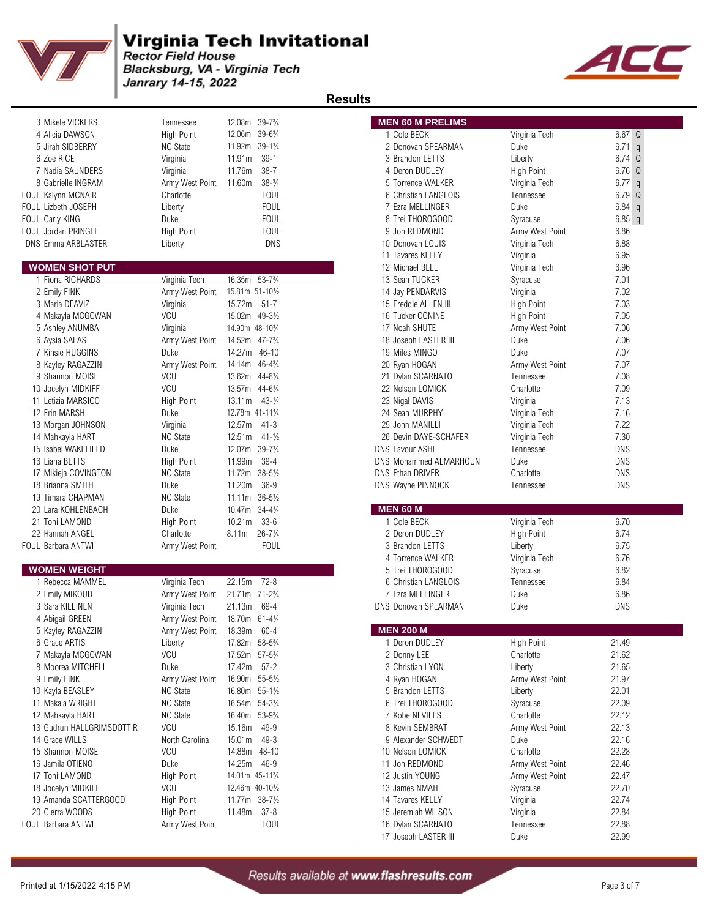

Blacksburg, VA - Virginia Tech Janrary 14-15, 2022



#### **Results**

|                           |                                |                                          | Results                                |                   |
|---------------------------|--------------------------------|------------------------------------------|----------------------------------------|-------------------|
| 3 Mikele VICKERS          | Tennessee                      | 12.08m 39-73/4                           | <b>MEN 60 M PRELIMS</b>                |                   |
| 4 Alicia DAWSON           | <b>High Point</b>              | 12.06m 39-63/4                           | 1 Cole BECK<br>Virginia Tech           | 6.67 Q            |
| 5 Jirah SIDBERRY          | <b>NC State</b>                | 11.92m 39-11/4                           | 2 Donovan SPEARMAN<br>Duke             | $6.71$ q          |
| 6 Zoe RICE                | Virginia                       | $39 - 1$<br>11.91m                       | 3 Brandon LETTS<br>Liberty             | 6.74 <sub>Q</sub> |
| 7 Nadia SAUNDERS          | Virginia                       | $38 - 7$<br>11.76m                       | 4 Deron DUDLEY<br>High Point           | 6.76 <sub>Q</sub> |
| 8 Gabrielle INGRAM        | Army West Point                | $38-3/4$<br>11.60m                       | 5 Torrence WALKER<br>Virginia Tech     | $6.77$ q          |
| FOUL Kalynn MCNAIR        | Charlotte                      | <b>FOUL</b>                              | 6 Christian LANGLOIS<br>Tennessee      | 6.79 Q            |
| FOUL Lizbeth JOSEPH       | Liberty                        | <b>FOUL</b>                              | Duke<br>7 Ezra MELLINGER               | $6.84$ q          |
| FOUL Carly KING           | Duke                           | <b>FOUL</b>                              | 8 Trei THOROGOOD<br>Syracuse           | $6.85$ q          |
| FOUL Jordan PRINGLE       | <b>High Point</b>              | <b>FOUL</b>                              | 9 Jon REDMOND<br>Army West Point       | 6.86              |
| <b>DNS Emma ARBLASTER</b> | Liberty                        | <b>DNS</b>                               | 10 Donovan LOUIS<br>Virginia Tech      | 6.88              |
|                           |                                |                                          | 11 Tavares KELLY<br>Virginia           | 6.95              |
| <b>WOMEN SHOT PUT</b>     |                                |                                          | 12 Michael BELL<br>Virginia Tech       | 6.96              |
| 1 Fiona RICHARDS          | Virginia Tech                  | 16.35m 53-7 <sup>3</sup> / <sub>4</sub>  | 13 Sean TUCKER<br>Syracuse             | 7.01              |
| 2 Emily FINK              | Army West Point                | 15.81m 51-101/2                          | 14 Jay PENDARVIS<br>Virginia           | 7.02              |
| 3 Maria DEAVIZ            | Virginia                       | 15.72m 51-7                              | High Point<br>15 Freddie ALLEN III     | 7.03              |
| 4 Makayla MCGOWAN         | <b>VCU</b>                     | 15.02m 49-31/2                           | 16 Tucker CONINE<br>High Point         | 7.05              |
| 5 Ashley ANUMBA           | Virginia                       | 14.90m 48-10 <sup>3</sup> / <sub>4</sub> | 17 Noah SHUTE<br>Army West Point       | 7.06              |
| 6 Aysia SALAS             | Army West Point                | 14.52m 47-73/4                           | Duke<br>18 Joseph LASTER III           | 7.06              |
| 7 Kinsie HUGGINS          | Duke                           | 14.27m 46-10                             | Duke<br>19 Miles MINGO                 | 7.07              |
| 8 Kayley RAGAZZINI        | Army West Point                | 14.14m 46-43/4                           | 20 Ryan HOGAN<br>Army West Point       | 7.07              |
| 9 Shannon MOISE           | VCU                            | 13.62m 44-81/4                           | 21 Dylan SCARNATO<br>Tennessee         | 7.08              |
| 10 Jocelyn MIDKIFF        | VCU                            | 13.57m 44-61/4                           | 22 Nelson LOMICK<br>Charlotte          | 7.09              |
| 11 Letizia MARSICO        | <b>High Point</b>              | $13.11m$ $43-1/4$                        | 23 Nigal DAVIS<br>Virginia             | 7.13              |
| 12 Erin MARSH             | Duke                           | 12.78m 41-111/4                          | 24 Sean MURPHY<br>Virginia Tech        | 7.16              |
| 13 Morgan JOHNSON         | Virginia                       | 12.57m<br>$41 - 3$                       | 25 John MANILLI<br>Virginia Tech       | 7.22              |
| 14 Mahkayla HART          | <b>NC State</b>                | 12.51m<br>$41 - \frac{1}{2}$             | 26 Devin DAYE-SCHAFER<br>Virginia Tech | 7.30              |
| 15 Isabel WAKEFIELD       | Duke                           | 12.07m 39-71/4                           | DNS Favour ASHE<br>Tennessee           | <b>DNS</b>        |
| 16 Liana BETTS            | High Point                     | $39 - 4$<br>11.99m                       | Duke<br>DNS Mohammed ALMARHOUN         | <b>DNS</b>        |
| 17 Mikieja COVINGTON      | <b>NC State</b>                | 11.72m<br>$38 - 5\frac{1}{2}$            | <b>DNS Ethan DRIVER</b><br>Charlotte   | <b>DNS</b>        |
| 18 Brianna SMITH          | Duke                           | $36 - 9$<br>11.20m                       | DNS Wayne PINNOCK<br>Tennessee         | <b>DNS</b>        |
| 19 Timara CHAPMAN         | <b>NC State</b>                | 11.11m 36-51/2                           |                                        |                   |
| 20 Lara KOHLENBACH        | Duke                           | 10.47m 34-41/4                           | <b>MEN 60 M</b>                        |                   |
| 21 Toni LAMOND            | <b>High Point</b>              | 10.21m<br>$33 - 6$                       | 1 Cole BECK<br>Virginia Tech           | 6.70              |
| 22 Hannah ANGEL           | Charlotte                      | $26 - 7\frac{1}{4}$<br>8.11m             | 2 Deron DUDLEY<br>High Point           | 6.74              |
| FOUL Barbara ANTWI        | Army West Point                | <b>FOUL</b>                              | 3 Brandon LETTS<br>Liberty             | 6.75              |
|                           |                                |                                          | 4 Torrence WALKER<br>Virginia Tech     | 6.76              |
| <b>WOMEN WEIGHT</b>       |                                |                                          | 5 Trei THOROGOOD<br>Syracuse           | 6.82              |
| 1 Rebecca MAMMEL          | Virginia Tech                  | 22.15m<br>$72 - 8$                       | 6 Christian LANGLOIS<br>Tennessee      | 6.84              |
| 2 Emily MIKOUD            | Army West Point                | 21.71m 71-23/4                           | 7 Ezra MELLINGER<br>Duke               | 6.86              |
| 3 Sara KILLINEN           | Virginia Tech                  | 21.13m<br>69-4                           | <b>DNS Donovan SPEARMAN</b><br>Duke    | DNS               |
| 4 Abigail GREEN           | Army West Point 18.70m 61-41/4 |                                          |                                        |                   |
| 5 Kayley RAGAZZINI        | Army West Point                | 18.39m 60-4                              | <b>MEN 200 M</b>                       |                   |
| 6 Grace ARTIS             | Liberty                        | 17.82m 58-53/4                           | 1 Deron DUDLEY<br>High Point           | 21.49             |
| 7 Makayla MCGOWAN         | VCU                            | 17.52m 57-53/4                           | Charlotte<br>2 Donny LEE               | 21.62             |
| 8 Moorea MITCHELL         | Duke                           | 17.42m<br>$57 - 2$                       | 3 Christian LYON<br>Liberty            | 21.65             |
| 9 Emily FINK              | Army West Point                | 16.90m 55-51/2                           | 4 Ryan HOGAN<br>Army West Point        | 21.97             |
| 10 Kayla BEASLEY          | <b>NC State</b>                | 16.80m 55-11/2                           | 5 Brandon LETTS<br>Liberty             | 22.01             |
| 11 Makala WRIGHT          | <b>NC State</b>                | 16.54m 54-31/4                           | 6 Trei THOROGOOD<br>Syracuse           | 22.09             |
| 12 Mahkayla HART          | <b>NC State</b>                | 16.40m 53-93/4                           | 7 Kobe NEVILLS<br>Charlotte            | 22.12             |
| 13 Gudrun HALLGRIMSDOTTIR | VCU                            | 15.16m<br>49-9                           | 8 Kevin SEMBRAT<br>Army West Point     | 22.13             |
| 14 Grace WILLS            | North Carolina                 | 15.01m<br>$49 - 3$                       | 9 Alexander SCHWEDT<br>Duke            | 22.16             |
|                           |                                |                                          |                                        |                   |

| 3 Mikele VICKERS<br>4 Alicia DAWSON<br>5 Jirah SIDBERRY                                                                                                                                                                                                 |                                      |                                          |                                         |                       |                |
|---------------------------------------------------------------------------------------------------------------------------------------------------------------------------------------------------------------------------------------------------------|--------------------------------------|------------------------------------------|-----------------------------------------|-----------------------|----------------|
|                                                                                                                                                                                                                                                         | Tennessee                            | 12.08m 39-73/4                           | <b>MEN 60 M PRELIMS</b>                 |                       |                |
|                                                                                                                                                                                                                                                         | <b>High Point</b>                    | 12.06m 39-63/4                           | 1 Cole BECK                             | Virginia Tech         | 6.67 Q         |
|                                                                                                                                                                                                                                                         | <b>NC State</b>                      | 11.92m 39-11/4                           | 2 Donovan SPEARMAN                      | Duke                  | $6.71$ q       |
| 6 Zoe RICE                                                                                                                                                                                                                                              | Virginia                             | $39-1$<br>11.91m                         | 3 Brandon LETTS                         | Liberty               | $6.74$ Q       |
| 7 Nadia SAUNDERS                                                                                                                                                                                                                                        | Virginia                             | $38 - 7$<br>11.76m                       | 4 Deron DUDLEY                          | High Point            | 6.76 Q         |
| 8 Gabrielle INGRAM                                                                                                                                                                                                                                      | Army West Point                      | 11.60m<br>$38-3/4$                       | 5 Torrence WALKER                       | Virginia Tech         | $6.77$ q       |
| UL Kalynn MCNAIR                                                                                                                                                                                                                                        | Charlotte                            | <b>FOUL</b>                              | 6 Christian LANGLOIS                    | Tennessee             | 6.79 Q         |
| UL Lizbeth JOSEPH                                                                                                                                                                                                                                       | Liberty                              | <b>FOUL</b>                              | 7 Ezra MELLINGER                        | Duke                  | $6.84$ q       |
| UL Carly KING                                                                                                                                                                                                                                           | Duke                                 | <b>FOUL</b>                              | 8 Trei THOROGOOD                        | Syracuse              | $6.85$ q       |
| UL Jordan PRINGLE                                                                                                                                                                                                                                       | <b>High Point</b>                    | <b>FOUL</b>                              | 9 Jon REDMOND                           | Army West Point       | 6.86           |
| NS Emma ARBLASTER                                                                                                                                                                                                                                       | Liberty                              | <b>DNS</b>                               | 10 Donovan LOUIS                        | Virginia Tech         | 6.88           |
|                                                                                                                                                                                                                                                         |                                      |                                          | 11 Tavares KELLY                        | Virginia              | 6.95           |
| <b>VOMEN SHOT PUT</b>                                                                                                                                                                                                                                   |                                      |                                          | 12 Michael BELL                         | Virginia Tech         | 6.96           |
| 1 Fiona RICHARDS                                                                                                                                                                                                                                        | Virginia Tech                        | 16.35m 53-7 <sup>3</sup> / <sub>4</sub>  | 13 Sean TUCKER                          | Syracuse              | 7.01           |
| 2 Emily FINK                                                                                                                                                                                                                                            | Army West Point                      | 15.81m 51-101/2                          | 14 Jay PENDARVIS                        | Virginia              | 7.02           |
| 3 Maria DEAVIZ                                                                                                                                                                                                                                          | Virginia                             | 15.72m 51-7                              | 15 Freddie ALLEN III                    | <b>High Point</b>     | 7.03           |
|                                                                                                                                                                                                                                                         | VCU                                  |                                          |                                         |                       |                |
| 4 Makayla MCGOWAN                                                                                                                                                                                                                                       |                                      | 15.02m 49-31/2                           | 16 Tucker CONINE                        | <b>High Point</b>     | 7.05           |
| 5 Ashley ANUMBA                                                                                                                                                                                                                                         | Virginia                             | 14.90m 48-10 <sup>3</sup> / <sub>4</sub> | 17 Noah SHUTE                           | Army West Point       | 7.06           |
| 6 Aysia SALAS                                                                                                                                                                                                                                           | Army West Point                      | 14.52m 47-73/4                           | 18 Joseph LASTER III                    | Duke                  | 7.06           |
| 7 Kinsie HUGGINS                                                                                                                                                                                                                                        | Duke                                 | 14.27m 46-10                             | 19 Miles MINGO                          | Duke                  | 7.07           |
| 8 Kayley RAGAZZINI                                                                                                                                                                                                                                      | Army West Point                      | 14.14m 46-43/4                           | 20 Ryan HOGAN                           | Army West Point       | 7.07           |
| 9 Shannon MOISE                                                                                                                                                                                                                                         | VCU                                  | 13.62m 44-81/4                           | 21 Dylan SCARNATO                       | Tennessee             | 7.08           |
| 10 Jocelyn MIDKIFF                                                                                                                                                                                                                                      | VCU                                  | 13.57m 44-61/4                           | 22 Nelson LOMICK                        | Charlotte             | 7.09           |
| 11 Letizia MARSICO                                                                                                                                                                                                                                      | <b>High Point</b>                    | 13.11m<br>$43 - 1/4$                     | 23 Nigal DAVIS                          | Virginia              | 7.13           |
| 12 Erin MARSH                                                                                                                                                                                                                                           | Duke                                 | 12.78m 41-111/4                          | 24 Sean MURPHY                          | Virginia Tech         | 7.16           |
| 13 Morgan JOHNSON                                                                                                                                                                                                                                       | Virginia                             | 12.57m<br>$41 - 3$                       | 25 John MANILLI                         | Virginia Tech         | 7.22           |
| 14 Mahkayla HART                                                                                                                                                                                                                                        | <b>NC State</b>                      | $41 - \frac{1}{2}$<br>12.51m             | 26 Devin DAYE-SCHAFER                   | Virginia Tech         | 7.30           |
| 15 Isabel WAKEFIELD                                                                                                                                                                                                                                     | Duke                                 | 12.07m 39-71/4                           | <b>DNS Favour ASHE</b>                  | Tennessee             | <b>DNS</b>     |
| 16 Liana BETTS                                                                                                                                                                                                                                          | <b>High Point</b>                    | $39 - 4$<br>11.99m                       | DNS Mohammed ALMARHOUN                  | Duke                  | <b>DNS</b>     |
| 17 Mikieja COVINGTON                                                                                                                                                                                                                                    | <b>NC State</b>                      | 11.72m 38-51/2                           | DNS Ethan DRIVER                        | Charlotte             | <b>DNS</b>     |
| 18 Brianna SMITH                                                                                                                                                                                                                                        | Duke                                 | $36-9$<br>11.20m                         | DNS Wayne PINNOCK                       | Tennessee             | <b>DNS</b>     |
| 19 Timara CHAPMAN                                                                                                                                                                                                                                       | <b>NC State</b>                      | 11.11m 36-51/2                           |                                         |                       |                |
| 20 Lara KOHLENBACH                                                                                                                                                                                                                                      | Duke                                 | 10.47m 34-41/4                           | <b>MEN 60 M</b>                         |                       |                |
| 21 Toni LAMOND                                                                                                                                                                                                                                          | <b>High Point</b>                    | 10.21m<br>$33 - 6$                       | 1 Cole BECK                             | Virginia Tech         | 6.70           |
| 22 Hannah ANGEL                                                                                                                                                                                                                                         | Charlotte                            | $26 - 7\frac{1}{4}$<br>8.11m             | 2 Deron DUDLEY                          | <b>High Point</b>     | 6.74           |
| UL Barbara ANTWI                                                                                                                                                                                                                                        | Army West Point                      | <b>FOUL</b>                              | 3 Brandon LETTS                         | Liberty               | 6.75           |
|                                                                                                                                                                                                                                                         |                                      |                                          | 4 Torrence WALKER                       | Virginia Tech         | 6.76           |
| <b>VOMEN WEIGHT</b>                                                                                                                                                                                                                                     |                                      |                                          | 5 Trei THOROGOOD                        | Syracuse              | 6.82           |
| 1 Rebecca MAMMEL                                                                                                                                                                                                                                        | Virginia Tech                        | $72 - 8$<br>22.15m                       | 6 Christian LANGLOIS                    | Tennessee             | 6.84           |
| 2 Emily MIKOUD                                                                                                                                                                                                                                          | Army West Point                      | 21.71m 71-2 <sup>3</sup> / <sub>4</sub>  | 7 Ezra MELLINGER                        | Duke                  | 6.86           |
| 3 Sara KILLINEN                                                                                                                                                                                                                                         |                                      | 21.13m<br>69-4                           | <b>DNS Donovan SPEARMAN</b>             | Duke                  | <b>DNS</b>     |
|                                                                                                                                                                                                                                                         | Virginia Tech                        |                                          |                                         |                       |                |
| 4 Abigail GREEN                                                                                                                                                                                                                                         | Army West Point                      | 18.70m 61-41/4                           | <b>MEN 200 M</b>                        |                       |                |
| 5 Kayley RAGAZZINI                                                                                                                                                                                                                                      | Army West Point                      | 18.39m<br>60-4                           |                                         |                       |                |
| 6 Grace ARTIS                                                                                                                                                                                                                                           | Liberty                              | 17.82m 58-53/4                           | 1 Deron DUDLEY                          | <b>High Point</b>     | 21.49          |
| 7 Makayla MCGOWAN                                                                                                                                                                                                                                       | VCU                                  | 17.52m 57-53/4                           | 2 Donny LEE                             | Charlotte             | 21.62          |
| 8 Moorea MITCHELL                                                                                                                                                                                                                                       | Duke                                 | 17.42m<br>$57-2$                         | 3 Christian LYON                        | Liberty               | 21.65          |
| 9 Emily FINK                                                                                                                                                                                                                                            | Army West Point                      | 16.90m 55-51/2                           | 4 Ryan HOGAN                            | Army West Point       | 21.97          |
|                                                                                                                                                                                                                                                         | <b>NC State</b>                      | 16.80m 55-11/2                           | 5 Brandon LETTS                         | Liberty               | 22.01          |
|                                                                                                                                                                                                                                                         | <b>NC State</b>                      | 16.54m 54-31/4                           | 6 Trei THOROGOOD                        | Syracuse              | 22.09          |
|                                                                                                                                                                                                                                                         | <b>NC State</b>                      | 16.40m 53-9 <sup>3</sup> / <sub>4</sub>  | 7 Kobe NEVILLS                          | Charlotte             | 22.12          |
|                                                                                                                                                                                                                                                         |                                      |                                          | 8 Kevin SEMBRAT                         | Army West Point       |                |
|                                                                                                                                                                                                                                                         | VCU                                  | 15.16m<br>49-9                           |                                         |                       | 22.13          |
|                                                                                                                                                                                                                                                         | North Carolina                       | 15.01m<br>49-3                           | 9 Alexander SCHWEDT                     | Duke                  | 22.16          |
|                                                                                                                                                                                                                                                         | VCU                                  | 14.88m 48-10                             | 10 Nelson LOMICK                        | Charlotte             | 22.28          |
|                                                                                                                                                                                                                                                         | Duke                                 | 14.25m 46-9                              | 11 Jon REDMOND                          | Army West Point       | 22.46          |
|                                                                                                                                                                                                                                                         | <b>High Point</b>                    | 14.01m 45-11%                            | 12 Justin YOUNG                         | Army West Point       | 22.47          |
|                                                                                                                                                                                                                                                         | <b>VCU</b>                           | 12.46m 40-101/2                          |                                         |                       |                |
|                                                                                                                                                                                                                                                         |                                      |                                          | 13 James NMAH                           | Syracuse              | 22.70          |
|                                                                                                                                                                                                                                                         | <b>High Point</b>                    | 11.77m 38-71/2                           | 14 Tavares KELLY                        | Virginia              | 22.74          |
| 10 Kayla BEASLEY<br>11 Makala WRIGHT<br>12 Mahkayla HART<br>13 Gudrun HALLGRIMSDOTTIR<br>14 Grace WILLS<br>15 Shannon MOISE<br>16 Jamila OTIENO<br>17 Toni LAMOND<br>18 Jocelyn MIDKIFF<br>19 Amanda SCATTERGOOD<br>20 Cierra WOODS<br>UL Barbara ANTWI | <b>High Point</b><br>Army West Point | 11.48m 37-8<br><b>FOUL</b>               | 15 Jeremiah WILSON<br>16 Dylan SCARNATO | Virginia<br>Tennessee | 22.84<br>22.88 |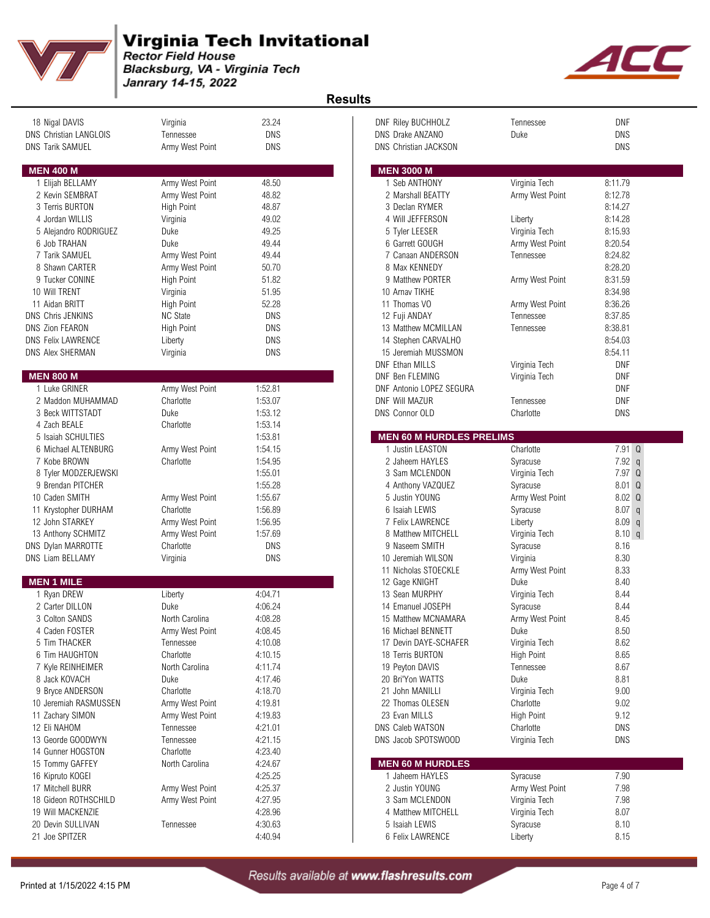

Blacksburg, VA - Virginia Tech Janrary 14-15, 2022



| 18 Nigal DAVIS<br><b>DNS Christian LANGLOIS</b> | Virginia<br>Tennessee | 23.24<br><b>DNS</b> | DNF Riley BUCHHOLZ<br>DNS Drake ANZANO | Tennessee<br>Duke       | DNF<br><b>DNS</b>      |
|-------------------------------------------------|-----------------------|---------------------|----------------------------------------|-------------------------|------------------------|
| DNS Tarik SAMUEL                                | Army West Point       | <b>DNS</b>          | <b>DNS Christian JACKSON</b>           |                         | <b>DNS</b>             |
|                                                 |                       |                     |                                        |                         |                        |
| <b>MEN 400 M</b>                                |                       |                     | <b>MEN 3000 M</b>                      |                         |                        |
| 1 Elijah BELLAMY                                | Army West Point       | 48.50               | 1 Seb ANTHONY                          | Virginia Tech           | 8:11.79                |
| 2 Kevin SEMBRAT                                 | Army West Point       | 48.82               | 2 Marshall BEATTY                      | Army West Point         | 8:12.78                |
| 3 Terris BURTON                                 | High Point            | 48.87               | 3 Declan RYMER                         |                         | 8:14.27                |
| 4 Jordan WILLIS                                 | Virginia              | 49.02               | 4 Will JEFFERSON                       | Liberty                 | 8:14.28                |
| 5 Alejandro RODRIGUEZ                           | Duke                  | 49.25               | 5 Tyler LEESER                         | Virginia Tech           | 8:15.93                |
| 6 Job TRAHAN                                    | Duke                  | 49.44               | 6 Garrett GOUGH                        | Army West Point         | 8:20.54                |
| 7 Tarik SAMUEL                                  | Army West Point       | 49.44               | 7 Canaan ANDERSON                      | Tennessee               | 8:24.82                |
| 8 Shawn CARTER                                  | Army West Point       | 50.70               | 8 Max KENNEDY                          |                         | 8:28.20                |
| 9 Tucker CONINE                                 | <b>High Point</b>     | 51.82               | 9 Matthew PORTER                       | Army West Point         | 8:31.59                |
| 10 Will TRENT                                   | Virginia              | 51.95               | 10 Arnav TIKHE                         |                         | 8:34.98                |
| 11 Aidan BRITT                                  | <b>High Point</b>     | 52.28               | 11 Thomas VO                           | Army West Point         | 8:36.26                |
| <b>DNS Chris JENKINS</b>                        | <b>NC State</b>       | <b>DNS</b>          | 12 Fuji ANDAY                          | Tennessee               | 8:37.85                |
| <b>DNS Zion FEARON</b>                          | <b>High Point</b>     | <b>DNS</b>          | 13 Matthew MCMILLAN                    | Tennessee               | 8:38.81                |
| <b>DNS Felix LAWRENCE</b>                       | Liberty               | DNS                 | 14 Stephen CARVALHO                    |                         | 8:54.03                |
| DNS Alex SHERMAN                                | Virginia              | DNS                 | 15 Jeremiah MUSSMON                    |                         | 8:54.11                |
|                                                 |                       |                     | <b>DNF Ethan MILLS</b>                 | Virginia Tech           | <b>DNF</b>             |
| <b>MEN 800 M</b>                                |                       |                     | DNF Ben FLEMING                        | Virginia Tech           | <b>DNF</b>             |
| 1 Luke GRINER                                   | Army West Point       | 1:52.81             | DNF Antonio LOPEZ SEGURA               |                         | <b>DNF</b>             |
| 2 Maddon MUHAMMAD                               | Charlotte             | 1:53.07             | DNF Will MAZUR                         | Tennessee               | DNF                    |
| 3 Beck WITTSTADT                                | Duke                  | 1:53.12             | <b>DNS Connor OLD</b>                  | Charlotte               | DNS                    |
| 4 Zach BEALE                                    | Charlotte             | 1:53.14             |                                        |                         |                        |
| 5 Isaiah SCHULTIES                              |                       | 1:53.81             | <b>MEN 60 M HURDLES PRELIMS</b>        |                         |                        |
| 6 Michael ALTENBURG                             | Army West Point       | 1:54.15             | 1 Justin LEASTON                       | Charlotte               | 7.91 Q                 |
| 7 Kobe BROWN                                    | Charlotte             | 1:54.95             | 2 Jaheem HAYLES                        | Syracuse                | 7.92q                  |
| 8 Tyler MODZERJEWSKI                            |                       | 1:55.01             | 3 Sam MCLENDON                         | Virginia Tech           | 7.97 Q                 |
| 9 Brendan PITCHER                               |                       | 1:55.28             | 4 Anthony VAZQUEZ                      | Syracuse                | 8.01 Q                 |
| 10 Caden SMITH                                  | Army West Point       | 1:55.67             | 5 Justin YOUNG                         | Army West Point         | 8.02 Q                 |
| 11 Krystopher DURHAM                            | Charlotte             | 1:56.89             | 6 Isaiah LEWIS                         | Syracuse                | 8.07<br>$\mathfrak{q}$ |
| 12 John STARKEY                                 | Army West Point       | 1:56.95             | 7 Felix LAWRENCE                       | Liberty                 | $8.09$ q               |
| 13 Anthony SCHMITZ                              | Army West Point       | 1:57.69             | 8 Matthew MITCHELL                     | Virginia Tech           | 8.10 q                 |
| DNS Dylan MARROTTE                              | Charlotte             | <b>DNS</b>          | 9 Naseem SMITH                         | Syracuse                | 8.16                   |
| <b>DNS Liam BELLAMY</b>                         |                       | <b>DNS</b>          | 10 Jeremiah WILSON                     | Virginia                | 8.30                   |
|                                                 | Virginia              |                     |                                        |                         | 8.33                   |
| <b>MEN 1 MILE</b>                               |                       |                     | 11 Nicholas STOECKLE                   | Army West Point<br>Duke | 8.40                   |
|                                                 |                       |                     | 12 Gage KNIGHT                         |                         |                        |
| 1 Ryan DREW                                     | Liberty               | 4:04.71             | 13 Sean MURPHY                         | Virginia Tech           | 8.44                   |
| 2 Carter DILLON                                 | Duke                  | 4:06.24             | 14 Emanuel JOSEPH                      | Syracuse                | 8.44                   |
| 3 Colton SANDS                                  | North Carolina        | 4:08.28             | 15 Matthew MCNAMARA                    | Army West Point         | 8.45                   |
| 4 Caden FOSTER                                  | Army West Point       | 4:08.45             | 16 Michael BENNETT                     | Duke                    | 8.50                   |
| 5 Tim THACKER                                   | Tennessee             | 4:10.08             | 17 Devin DAYE-SCHAFER                  | Virginia Tech           | 8.62                   |
| 6 Tim HAUGHTON                                  | Charlotte             | 4:10.15             | 18 Terris BURTON                       | <b>High Point</b>       | 8.65                   |
| 7 Kyle REINHEIMER                               | North Carolina        | 4:11.74             | 19 Peyton DAVIS                        | Tennessee               | 8.67                   |
| 8 Jack KOVACH                                   | Duke                  | 4:17.46             | 20 Bri'Yon WATTS                       | Duke                    | 8.81                   |
| 9 Bryce ANDERSON                                | Charlotte             | 4:18.70             | 21 John MANILLI                        | Virginia Tech           | 9.00                   |
| 10 Jeremiah RASMUSSEN                           | Army West Point       | 4:19.81             | 22 Thomas OLESEN                       | Charlotte               | 9.02                   |
| 11 Zachary SIMON                                | Army West Point       | 4:19.83             | 23 Evan MILLS                          | <b>High Point</b>       | 9.12                   |
| 12 Eli NAHOM                                    | Tennessee             | 4:21.01             | <b>DNS Caleb WATSON</b>                | Charlotte               | DNS                    |
| 13 Georde GOODWYN                               | Tennessee             | 4:21.15             | DNS Jacob SPOTSWOOD                    | Virginia Tech           | DNS                    |
| 14 Gunner HOGSTON                               | Charlotte             | 4:23.40             |                                        |                         |                        |
| 15 Tommy GAFFEY                                 | North Carolina        | 4:24.67             | <b>MEN 60 M HURDLES</b>                |                         |                        |
| 16 Kipruto KOGEI                                |                       | 4:25.25             | 1 Jaheem HAYLES                        | Syracuse                | 7.90                   |
| 17 Mitchell BURR                                | Army West Point       | 4:25.37             | 2 Justin YOUNG                         | Army West Point         | 7.98                   |
| 18 Gideon ROTHSCHILD                            | Army West Point       | 4:27.95             | 3 Sam MCLENDON                         | Virginia Tech           | 7.98                   |
| 19 Will MACKENZIE                               |                       | 4:28.96             | 4 Matthew MITCHELL                     | Virginia Tech           | 8.07                   |
| 20 Devin SULLIVAN                               | Tennessee             | 4:30.63             | 5 Isaiah LEWIS                         | Syracuse                | 8.10                   |
| 21 Joe SPITZER                                  |                       | 4:40.94             | 6 Felix LAWRENCE                       | Liberty                 | 8.15                   |

| <b>DNF Riley BUCHHOLZ</b><br>DNS Drake ANZANO<br><b>DNS Christian JACKSON</b>                                                                                                                                                                                                                                                                                                                                                                                                                                                       | Tennessee<br>Duke                                                                                                                                                                                                                                                                                                                                             | DNF<br>DNS<br>DNS                                                                                                                                                                                                                    |
|-------------------------------------------------------------------------------------------------------------------------------------------------------------------------------------------------------------------------------------------------------------------------------------------------------------------------------------------------------------------------------------------------------------------------------------------------------------------------------------------------------------------------------------|---------------------------------------------------------------------------------------------------------------------------------------------------------------------------------------------------------------------------------------------------------------------------------------------------------------------------------------------------------------|--------------------------------------------------------------------------------------------------------------------------------------------------------------------------------------------------------------------------------------|
| <b>MEN 3000 M</b>                                                                                                                                                                                                                                                                                                                                                                                                                                                                                                                   |                                                                                                                                                                                                                                                                                                                                                               |                                                                                                                                                                                                                                      |
| 1 Seb ANTHONY<br>2 Marshall BEATTY<br>3 Declan RYMER<br>4 Will JEFFERSON<br>5 Tyler LEESER<br>6 Garrett GOUGH<br>7 Canaan ANDERSON<br>8 Max KENNEDY<br>9 Matthew PORTER<br>10 Arnav TIKHE<br>11 Thomas VO<br>12 Fuji ANDAY<br>13 Matthew MCMILLAN<br>14 Stephen CARVALHO<br>15 Jeremiah MUSSMON<br><b>DNF Ethan MILLS</b>                                                                                                                                                                                                           | Virginia Tech<br>Army West Point<br>Liberty<br>Virginia Tech<br>Army West Point<br>Tennessee<br>Army West Point<br>Army West Point<br>Tennessee<br>Tennessee                                                                                                                                                                                                  | 8:11.79<br>8:12.78<br>8:14.27<br>8:14.28<br>8:15.93<br>8:20.54<br>8:24.82<br>8:28.20<br>8:31.59<br>8:34.98<br>8:36.26<br>8:37.85<br>8:38.81<br>8:54.03<br>8:54.11                                                                    |
| <b>DNF Ben FLEMING</b><br><b>DNF Antonio LOPEZ SEGURA</b><br><b>DNF Will MAZUR</b><br>DNS Connor OLD                                                                                                                                                                                                                                                                                                                                                                                                                                | Virginia Tech<br>Virginia Tech<br>Tennessee<br>Charlotte                                                                                                                                                                                                                                                                                                      | DNF<br>DNF<br>DNF<br>DNF<br>DNS                                                                                                                                                                                                      |
| <b>MEN 60 M HURDLES PRELIMS</b>                                                                                                                                                                                                                                                                                                                                                                                                                                                                                                     |                                                                                                                                                                                                                                                                                                                                                               |                                                                                                                                                                                                                                      |
| 1 Justin LEASTON<br>2 Jaheem HAYLES<br>3 Sam MCLENDON<br>4 Anthony VAZQUEZ<br>5 Justin YOUNG<br>6 Isaiah LEWIS<br><b>7 Felix LAWRENCE</b><br>8 Matthew MITCHELL<br>9 Naseem SMITH<br>10 Jeremiah WILSON<br>11 Nicholas STOECKLE<br>12 Gage KNIGHT<br>13 Sean MURPHY<br>14 Emanuel JOSEPH<br>15 Matthew MCNAMARA<br>16 Michael BENNETT<br>17 Devin DAYE-SCHAFER<br>18 Terris BURTON<br>19 Peyton DAVIS<br>20 Bri'Yon WATTS<br>21 John MANILLI<br>22 Thomas OLESEN<br>23 Evan MILLS<br><b>DNS Caleb WATSON</b><br>DNS Jacob SPOTSWOOD | Charlotte<br>Syracuse<br>Virginia Tech<br>Syracuse<br>Army West Point<br>Syracuse<br>Liberty<br>Virginia Tech<br>Syracuse<br>Virginia<br>Army West Point<br>Duke<br>Virginia Tech<br>Syracuse<br>Army West Point<br>Duke<br>Virginia Tech<br>High Point<br>Tennessee<br>Duke<br>Virginia Tech<br>Charlotte<br><b>High Point</b><br>Charlotte<br>Virginia Tech | 7.91 Q<br>7.92<br>q<br>7.97<br>Q<br>8.01<br>Q<br>8.02<br>Q<br>8.07<br>q<br>8.09<br>q<br>8.10 q<br>8.16<br>8.30<br>8.33<br>8.40<br>8.44<br>8.44<br>8.45<br>8.50<br>8.62<br>8.65<br>8.67<br>8.81<br>9.00<br>9.02<br>9.12<br>DNS<br>DNS |
| <b>MEN 60 M HURDLES</b><br>1 Jaheem HAYLES                                                                                                                                                                                                                                                                                                                                                                                                                                                                                          | Syracuse                                                                                                                                                                                                                                                                                                                                                      | 7.90                                                                                                                                                                                                                                 |
| 2 Justin YOUNG<br>3 Sam MCLENDON<br>4 Matthew MITCHELL<br>5 Isaiah LEWIS<br>6 Felix LAWRENCE                                                                                                                                                                                                                                                                                                                                                                                                                                        | Army West Point<br>Virginia Tech<br>Virginia Tech<br>Syracuse<br>Liberty                                                                                                                                                                                                                                                                                      | 7.98<br>7.98<br>8.07<br>8.10<br>8.15                                                                                                                                                                                                 |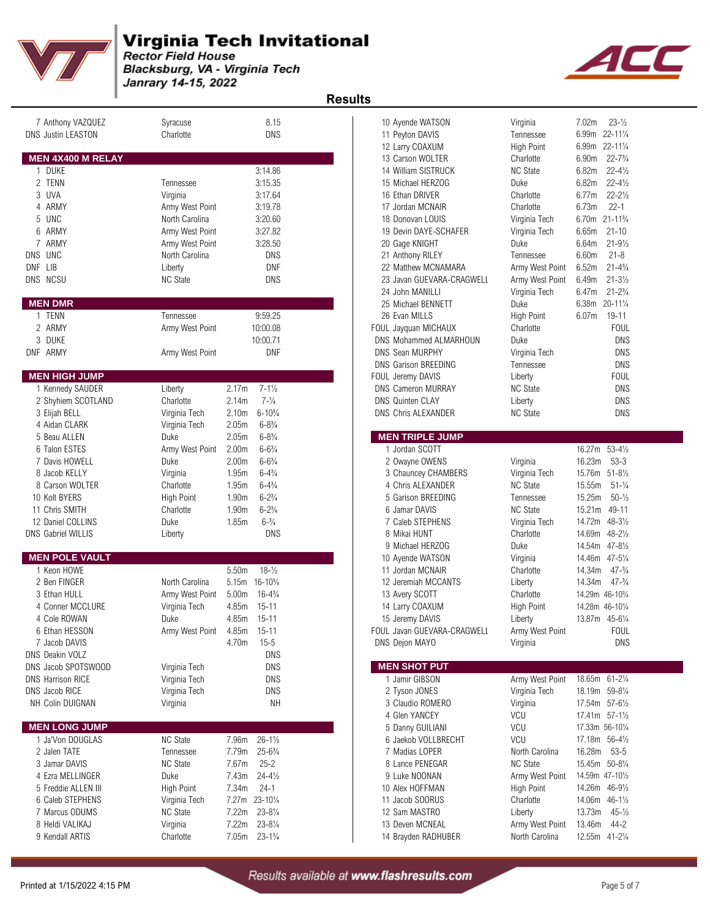

Blacksburg, VA - Virginia Tech Janrary 14-15, 2022



| 7 Anthony VAZQUEZ<br><b>DNS Justin LEASTON</b> | Syracuse<br>Charlotte       | 8.15<br><b>DNS</b>                       | 10 Ayende WATSON<br>11 Peyton DAVIS<br>12 Larry COAXUM | Virginia<br>Tennessee<br><b>High Point</b> | $23 - \frac{1}{2}$<br>7.02m<br>$22 - 11\frac{1}{4}$<br>6.99m<br>$22 - 11\frac{1}{4}$<br>6.99m |            |
|------------------------------------------------|-----------------------------|------------------------------------------|--------------------------------------------------------|--------------------------------------------|-----------------------------------------------------------------------------------------------|------------|
| MEN 4X400 M RELAY                              |                             |                                          | 13 Carson WOLTER                                       | Charlotte                                  | $22 - 7\frac{3}{4}$<br>6.90m                                                                  |            |
| 1 DUKE                                         |                             | 3:14.86                                  | 14 William SISTRUCK                                    | <b>NC State</b>                            | 6.82m<br>$22 - 4\frac{1}{2}$                                                                  |            |
| 2 TENN                                         | Tennessee                   | 3:15.35                                  | 15 Michael HERZOG                                      | Duke                                       | 6.82m<br>$22 - 4\frac{1}{2}$                                                                  |            |
| 3 UVA                                          | Virginia                    | 3:17.64                                  | 16 Ethan DRIVER                                        | Charlotte                                  | $22 - 2\frac{1}{2}$<br>6.77m                                                                  |            |
| 4 ARMY                                         | Army West Point             | 3:19.78                                  | 17 Jordan MCNAIR                                       | Charlotte                                  | $22 - 1$<br>6.73m                                                                             |            |
| 5 UNC                                          | North Carolina              | 3:20.60                                  | 18 Donovan LOUIS                                       | Virginia Tech                              | $21 - 11^{3}/4$<br>6.70m                                                                      |            |
| 6 ARMY                                         | Army West Point             | 3:27.82                                  | 19 Devin DAYE-SCHAFER                                  | Virginia Tech                              | 6.65m<br>$21 - 10$                                                                            |            |
| 7 ARMY                                         | Army West Point             | 3:28.50                                  | 20 Gage KNIGHT                                         | Duke                                       | $21 - 9\frac{1}{2}$<br>6.64m                                                                  |            |
| DNS UNC                                        | North Carolina              | <b>DNS</b>                               | 21 Anthony RILEY                                       | Tennessee                                  | $21 - 8$<br>6.60m                                                                             |            |
| DNF LIB                                        | Liberty                     | <b>DNF</b>                               | 22 Matthew MCNAMARA                                    | Army West Point                            | 6.52m<br>$21 - 4\frac{3}{4}$                                                                  |            |
| DNS NCSU                                       | <b>NC State</b>             | <b>DNS</b>                               | 23 Javan GUEVARA-CRAGWELI                              | Army West Point                            | 6.49m<br>$21 - 3\frac{1}{2}$                                                                  |            |
|                                                |                             |                                          | 24 John MANILLI                                        | Virginia Tech                              | $21 - 2\frac{3}{4}$<br>6.47m                                                                  |            |
| <b>MEN DMR</b>                                 |                             |                                          | 25 Michael BENNETT                                     | Duke                                       | 20-111/4<br>6.38m                                                                             |            |
| 1 TENN                                         | Tennessee                   | 9:59.25                                  | 26 Evan MILLS                                          | High Point                                 | $19 - 11$<br>6.07m                                                                            |            |
| 2 ARMY                                         | Army West Point             | 10:00.08                                 | FOUL Jayquan MICHAUX                                   | Charlotte                                  | <b>FOUL</b>                                                                                   |            |
| 3 DUKE                                         |                             | 10:00.71                                 | DNS Mohammed ALMARHOUN                                 | Duke                                       |                                                                                               | <b>DNS</b> |
| DNF ARMY                                       | Army West Point             | <b>DNF</b>                               | <b>DNS Sean MURPHY</b>                                 | Virginia Tech                              |                                                                                               | <b>DNS</b> |
|                                                |                             |                                          | <b>DNS Garison BREEDING</b>                            | Tennessee                                  |                                                                                               | <b>DNS</b> |
| <b>MEN HIGH JUMP</b>                           |                             |                                          | FOUL Jeremy DAVIS                                      | Liberty                                    | <b>FOUL</b>                                                                                   |            |
| 1 Kennedy SAUDER                               | Liberty                     | $7 - 1\frac{1}{2}$<br>2.17m              | <b>DNS Cameron MURRAY</b>                              | <b>NC State</b>                            |                                                                                               | <b>DNS</b> |
| 2 Shyhiem SCOTLAND                             | Charlotte                   | 2.14m<br>$7 - \frac{1}{4}$               | <b>DNS Quinten CLAY</b>                                | Liberty                                    |                                                                                               | <b>DNS</b> |
| 3 Elijah BELL                                  | Virginia Tech               | 2.10 <sub>m</sub><br>$6 - 10\frac{3}{4}$ | <b>DNS Chris ALEXANDER</b>                             | <b>NC State</b>                            |                                                                                               | <b>DNS</b> |
| 4 Aidan CLARK                                  | Virginia Tech               | $6 - 8\frac{3}{4}$<br>2.05m              |                                                        |                                            |                                                                                               |            |
| 5 Beau ALLEN                                   | Duke                        | 2.05m<br>$6 - 8\frac{3}{4}$              | <b>MEN TRIPLE JUMP</b>                                 |                                            |                                                                                               |            |
| 6 Talon ESTES                                  | Army West Point             | 2.00 <sub>m</sub><br>$6 - 6\frac{3}{4}$  | 1 Jordan SCOTT                                         |                                            | $53 - 4\frac{1}{2}$<br>16.27m                                                                 |            |
| 7 Davis HOWELL                                 | Duke                        | $6 - 6\frac{3}{4}$<br>2.00 <sub>m</sub>  | 2 Owayne OWENS                                         | Virginia                                   | 16.23m<br>$53 - 3$                                                                            |            |
| 8 Jacob KELLY                                  | Virginia                    | 1.95m<br>$6 - 4\frac{3}{4}$              | 3 Chauncey CHAMBERS                                    | Virginia Tech                              | 15.76m<br>$51 - 8\frac{1}{2}$                                                                 |            |
| 8 Carson WOLTER                                | Charlotte                   | $6 - 4\frac{3}{4}$<br>1.95m              | 4 Chris ALEXANDER                                      | <b>NC State</b>                            | 15.55m<br>$51 - \frac{1}{4}$                                                                  |            |
| 10 Kolt BYERS                                  | High Point                  | $6 - 2\frac{3}{4}$<br>1.90m              | 5 Garison BREEDING                                     | Tennessee                                  | 15.25m<br>$50 - \frac{1}{2}$                                                                  |            |
| 11 Chris SMITH                                 | Charlotte                   | $6 - 2\frac{3}{4}$<br>1.90m              | 6 Jamar DAVIS                                          | <b>NC State</b>                            | 15.21m<br>49-11                                                                               |            |
| 12 Daniel COLLINS                              | Duke                        | $6 - \frac{3}{4}$<br>1.85m               | 7 Caleb STEPHENS                                       | Virginia Tech                              | 14.72m<br>$48 - 3\frac{1}{2}$                                                                 |            |
| <b>DNS Gabriel WILLIS</b>                      | Liberty                     | <b>DNS</b>                               | 8 Mikai HUNT                                           | Charlotte                                  | $48 - 2\frac{1}{2}$<br>14.69m                                                                 |            |
|                                                |                             |                                          | 9 Michael HERZOG                                       | Duke                                       | 14.54m 47-81/2                                                                                |            |
| <b>MEN POLE VAULT</b>                          |                             |                                          | 10 Ayende WATSON                                       | Virginia                                   | 14.46m 47-51/4                                                                                |            |
| 1 Keon HOWE                                    |                             | 5.50m<br>$18 - \frac{1}{2}$              | 11 Jordan MCNAIR                                       | Charlotte                                  | $47 - \frac{3}{4}$<br>14.34m                                                                  |            |
| 2 Ben FINGER                                   | North Carolina              | $16 - 10\frac{3}{4}$<br>5.15m            | 12 Jeremiah MCCANTS                                    | Liberty                                    | 14.34m<br>$47 - \frac{3}{4}$                                                                  |            |
| 3 Ethan HULL                                   | Army West Point             | 5.00 <sub>m</sub><br>$16 - 4\frac{3}{4}$ | 13 Avery SCOTT                                         | Charlotte                                  | 14.29m 46-10 <sup>3</sup> / <sub>4</sub>                                                      |            |
| 4 Conner MCCLURE                               | Virginia Tech               | 4.85m<br>$15 - 11$                       | 14 Larry COAXUM                                        | High Point                                 | 14.28m 46-101/4                                                                               |            |
| 4 Cole ROWAN                                   | Duke                        | $15 - 11$<br>4.85m                       | 15 Jeremy DAVIS                                        | Liberty                                    | 13.87m 45-61/4                                                                                |            |
| 6 Ethan HESSON                                 | Army West Point 4.85m 15-11 |                                          | FOUL Javan GUEVARA-CRAGWELI                            | Army West Point                            | <b>FOUL</b>                                                                                   |            |
| 7 Jacob DAVIS                                  |                             | 4.70m<br>$15 - 5$                        | DNS Dejon MAYO                                         | Virginia                                   |                                                                                               | <b>DNS</b> |
| <b>DNS Deakin VOLZ</b>                         |                             | DNS                                      |                                                        |                                            |                                                                                               |            |
| DNS Jacob SPOTSWOOD                            | Virginia Tech               | <b>DNS</b>                               | <b>MEN SHOT PUT</b>                                    |                                            |                                                                                               |            |
| <b>DNS Harrison RICE</b>                       | Virginia Tech               | <b>DNS</b>                               | 1 Jamir GIBSON                                         | Army West Point                            | 18.65m 61-21/4                                                                                |            |
| DNS Jacob RICE                                 | Virginia Tech               | <b>DNS</b>                               | 2 Tyson JONES                                          | Virginia Tech                              | 18.19m 59-81/4                                                                                |            |
| NH Colin DUIGNAN                               | Virginia                    | NΗ                                       | 3 Claudio ROMERO                                       | Virginia                                   | 17.54m 57-61/2                                                                                |            |
|                                                |                             |                                          | 4 Glen YANCEY                                          | <b>VCU</b>                                 | 17.41m 57-11/2                                                                                |            |
| <b>MEN LONG JUMP</b>                           |                             |                                          | 5 Danny GUILIANI                                       | VCU                                        | 17.33m 56-101/4                                                                               |            |
| 1 Ja'Von DOUGLAS                               | <b>NC State</b>             | $26 - 1\frac{1}{2}$<br>7.96m             | 6 Jaekob VOLLBRECHT                                    | <b>VCU</b>                                 | 17.18m 56-41/2                                                                                |            |
| 2 Jalen TATE                                   | Tennessee                   | 7.79m<br>$25 - 6\frac{3}{4}$             | 7 Madias LOPER                                         | North Carolina                             | 16.28m<br>$53 - 5$                                                                            |            |
| 3 Jamar DAVIS                                  | <b>NC State</b>             | 7.67m<br>$25 - 2$                        | 8 Lance PENEGAR                                        | <b>NC State</b>                            | 15.45m 50-81/4                                                                                |            |
| 4 Ezra MELLINGER                               | Duke                        | $24 - 4\frac{1}{2}$<br>7.43m             | 9 Luke NOONAN                                          | Army West Point                            | 14.59m 47-101/2                                                                               |            |
| 5 Freddie ALLEN III                            | High Point                  | $24 - 1$<br>7.34m                        | 10 Alex HOFFMAN                                        | <b>High Point</b>                          | 14.26m 46-91/2                                                                                |            |
| 6 Caleb STEPHENS                               | Virginia Tech               | 7.27m 23-101/4                           | 11 Jacob SOORUS                                        | Charlotte                                  | 14.06m 46-11/2                                                                                |            |
| 7 Marcus ODUMS                                 | <b>NC State</b>             | 7.22m<br>$23 - 8\frac{1}{4}$             | 12 Sam MASTRO                                          | Liberty                                    | 13.73m<br>$45 - \frac{1}{2}$                                                                  |            |
| 8 Heldi VALIKAJ                                | Virginia                    | 7.22m<br>$23 - 8\frac{1}{4}$             | 13 Deven MCNEAL                                        | Army West Point                            | 13.46m<br>44-2                                                                                |            |
| 9 Kendall ARTIS                                | Charlotte                   | 7.05m 23-11/4                            | 14 Brayden RADHUBER                                    | North Carolina                             | 12.55m 41-21/4                                                                                |            |
|                                                |                             |                                          |                                                        |                                            |                                                                                               |            |

| 10 Ayende WATSON              | Virginia        | 7.02m<br>$23 - \frac{1}{2}$              |
|-------------------------------|-----------------|------------------------------------------|
| 11 Peyton DAVIS               | Tennessee       | 6.99m 22-111/4                           |
| 12 Larry COAXUM               | High Point      | 6.99m 22-111/4                           |
| 13 Carson WOLTER              | Charlotte       | 6.90m<br>$22 - 7\frac{3}{4}$             |
| 14 William SISTRUCK           | <b>NC State</b> | $22 - 4\frac{1}{2}$<br>6.82m             |
| 15 Michael HERZOG             | Duke            | $22 - 4\frac{1}{2}$<br>6.82m             |
| 16 Ethan DRIVER               | Charlotte       | 6.77m<br>$22 - 2\frac{1}{2}$             |
| 17 Jordan MCNAIR              | Charlotte       | $22 - 1$<br>6.73m                        |
| 18 Donovan LOUIS              | Virginia Tech   | 6.70m 21-111/4                           |
| 19 Devin DAYE-SCHAFER         | Virginia Tech   | 6.65m<br>$21 - 10$                       |
| 20 Gage KNIGHT                | Duke            | $21 - 9\frac{1}{2}$<br>6.64m             |
| 21 Anthony RILEY              | Tennessee       | $21 - 8$<br>6.60m                        |
| 22 Matthew MCNAMARA           | Army West Point | 6.52m<br>$21 - 4\frac{3}{4}$             |
| 23 Javan GUEVARA-CRAGWELI     | Army West Point | 6.49m<br>$21 - 3\frac{1}{2}$             |
| 24 John MANILLI               | Virginia Tech   | 6.47m<br>$21 - 2\frac{3}{4}$             |
| 25 Michael BENNETT            | Duke            | 6.38m<br>$20 - 11\frac{1}{4}$            |
| 26 Evan MILLS                 | High Point      | 6.07m<br>19-11                           |
| FOUL Jayquan MICHAUX          | Charlotte       | <b>FOUL</b>                              |
| <b>DNS Mohammed ALMARHOUN</b> | Duke            | DNS                                      |
| <b>DNS Sean MURPHY</b>        | Virginia Tech   | DNS                                      |
| <b>DNS Garison BREEDING</b>   | Tennessee       | <b>DNS</b>                               |
| FOUL Jeremy DAVIS             | Liberty         | <b>FOUL</b>                              |
| <b>DNS Cameron MURRAY</b>     | NC State        | DNS                                      |
| <b>DNS Quinten CLAY</b>       | Liberty         | DNS                                      |
| <b>DNS Chris ALEXANDER</b>    | <b>NC State</b> | DNS                                      |
|                               |                 |                                          |
| <b>MEN TRIPLE JUMP</b>        |                 |                                          |
| 1 Jordan SCOTT                |                 | 16.27m<br>$53 - 4\frac{1}{2}$            |
| 2 Owayne OWENS                | Virginia        | $53-3$<br>16.23m                         |
| 3 Chauncey CHAMBERS           | Virginia Tech   | 15.76m 51-81/2                           |
| 4 Chris ALEXANDER             | <b>NC State</b> | 15.55m<br>$51 - \frac{1}{4}$             |
| 5 Garison BREEDING            | Tennessee       | 15.25m<br>$50 - \frac{1}{2}$             |
| 6 Jamar DAVIS                 | <b>NC State</b> | 15.21m 49-11                             |
| 7 Caleb STEPHENS              | Virginia Tech   | 14.72m<br>$48 - 3\frac{1}{2}$            |
| 8 Mikai HUNT                  | Charlotte       | 14.69m<br>$48 - 2\frac{1}{2}$            |
| 9 Michael HERZOG              | Duke            | 14.54m 47-81/2                           |
| 10 Ayende WATSON              | Virginia        | 14.46m 47-51/4                           |
| 11 Jordan MCNAIR              | Charlotte       | 14.34m<br>$47 - \frac{3}{4}$             |
| 12 Jeremiah MCCANTS           | Liberty         | 14.34m<br>$47 - \frac{3}{4}$             |
| 13 Avery SCOTT                | Charlotte       | 14.29m 46-10 <sup>3</sup> / <sub>4</sub> |
| 14 Larry COAXUM               | High Point      | 14.28m 46-101/4                          |
| 15 Jeremy DAVIS               | Liberty         | 13.87m 45-61/4                           |
| FOUL Javan GUEVARA-CRAGWELI   | Army West Point | FOUL                                     |
| DNS Dejon MAYO                | Virginia        | DNS                                      |

| <b>MEN SHOT PUT</b> |                             |                 |                     |
|---------------------|-----------------------------|-----------------|---------------------|
| 1 Jamir GIBSON      | Army West Point             | 18.65m          | $61 - 2\frac{1}{4}$ |
| 2 Tyson JONES       | Virginia Tech               | 18.19m 59-81/4  |                     |
| 3 Claudio ROMERO    | Virginia                    | 17.54m 57-61/2  |                     |
| 4 Glen YANCEY       | VCU                         | 17.41m 57-11/2  |                     |
| 5 Danny GUILIANI    | VCU                         | 17.33m 56-101/4 |                     |
| 6 Jaekob VOLLBRECHT | <b>VCU</b>                  | 17.18m 56-41/2  |                     |
| 7 Madias LOPER      | North Carolina              | 16.28m 53-5     |                     |
| 8 Lance PENEGAR     | NC State                    | 15.45m 50-81/4  |                     |
| 9 Luke NOONAN       | Army West Point             | 14.59m 47-101/2 |                     |
| 10 Alex HOFFMAN     | High Point                  | 14.26m          | $46 - 9\frac{1}{2}$ |
| 11 Jacob SOORUS     | Charlotte                   | 14.06m          | $46 - 1\frac{1}{2}$ |
| 12 Sam MASTRO       | Liberty                     | 13.73m 45-1/2   |                     |
| 13 Deven MCNEAL     | Army West Point 13.46m 44-2 |                 |                     |
| 14 Brayden RADHUBER | North Carolina              | 12.55m          | $41 - 2\frac{1}{4}$ |
|                     |                             |                 |                     |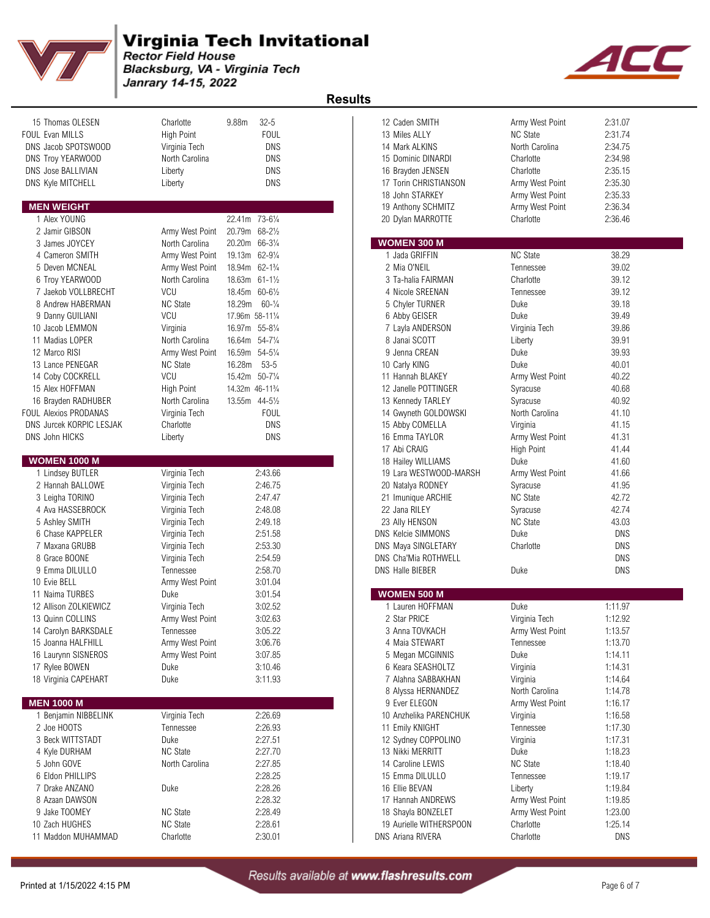

#### **Virginia Tech Invitational**

**Rector Field House** Blacksburg, VA - Virginia Tech Janrary 14-15, 2022



15 Thomas OLESEN Charlotte 9.88m 32-5 FOUL Evan MILLS High Point FOUL 13 Miles ALLY NC State 2:31.74 DNS Jacob SPOTSWOOD Virginia Tech DNS DNS Troy YEARWOOD North Carolina DNS DNS Jose BALLIVIAN Liberty DNS DNS Kyle MITCHELL Liberty Liberty DNS **MEN WEIGHT** 2.36.34 **MEN WEIGHT** 2.36.34 1 Alex YOUNG 22.41m 73-6¼ 20 Dylan MARROTTE Charlotte 2:36.46 2 Jamir GIBSON Army West Point 20.79m 68-2½ 3 James JOYCEY North Carolina 20.20m 66-31/4 4 Cameron SMITH Army West Point 19.13m 62-91⁄4 1 Jada GRIFFIN NC State NC State 38.29 5 Deven MCNEAL Army West Point 18.94m 62-1¾ 2 Mia O'NEIL Tennessee 39.02 6 Troy YEARWOOD North Carolina 18.63m 61-11/2 7 Jaekob VOLLBRECHT VCU 18.45m 60-61/2 8 Andrew HABERMAN NC State 18.29m 60-¼ 5 Chyler TURNER Duke 39.18 9 Danny GUILIANI VCU 17.96m 58-11¼ 6 Abby GEISER Duke 39.49 10 Jacob LEMMON Virginia 16.97m 55-8¼ 7 Layla ANDERSON Virginia Tech 39.86 11 Madias LOPER North Carolina 16.64m 54-7¼ 8 Janai SCOTT Liberty Liberty 39.91 12 Marco RISI Army West Point 16.59m 54-5¼ 9 Jenna CREAN Duke 39.93 13 Lance PENEGAR NC State 16.28m 53-5 14 Coby COCKRELL VCU 15.42m 50-71/4 15 Alex HOFFMAN High Point 14.32m 46-11<sup>3</sup>/<sub>4</sub> 16 Brayden RADHUBER North Carolina 13.55m 44-51/2 FOUL Alexios PRODANAS Virginia Tech FOUL DNS Jurcek KORPIC LESJAK Charlotte Charlotte DNS DNS John HICKS Liberty DNS 16 Emma TAYLOR Army West Point 41.31 **WOMEN 1000 M** 1 Lindsey BUTLER Virginia Tech 2:43.66 19 Lara WESTWOOD-MARSH Army West Point 41.66 2 Hannah BALLOWE Virginia Tech 2:46.75 3 Leigha TORINO Virginia Tech 2:47.47 21 Imunique ARCHIE NC State 42.72 4 Ava HASSEBROCK Virginia Tech 2:48.08 5 Ashley SMITH Virginia Tech 2:49.18 23 Ally HENSON NC State 43.03 6 Chase KAPPELER Virginia Tech 2:51.58 DNS Kelcie SIMMONS Duke DNS 7 Maxana GRUBB Virginia Tech 2:53.30 DNS Maya SINGLETARY Charlotte DNS 8 Grace BOONE Virginia Tech 2:54.59 DNS Cha'Mia ROTHWELL DNS 9 Emma DILULLO Tennessee 2:58.70 DNS Halle BIEBER Duke DNS 10 Evie BELL **Army West Point** 3:01.04 11 Naima TURBES **Duke** 3:01.54 12 Allison ZOLKIEWICZ Virginia Tech 3:02.52 13 Quinn COLLINS **Army West Point** 3:02.63 **2 Star PRICE** Virginia Tech 1:12.92 14 Carolyn BARKSDALE Tennessee 3:05.22 15 Joanna HALFHILL **Army West Point** 3:06.76 16 Laurynn SISNEROS **Army West Point** 3:07.85 17 Rylee BOWEN Duke 3:10.46 6 Keara SEASHOLTZ Virginia 1:14.31 18 Virginia CAPEHART Duke 3:11.93 **MEN 1000 M** 9 Ever ELEGON Army West Point 1:16.17 1 Benjamin NIBBELINK Virginia Tech 2:26.69 2 Joe HOOTS Tennessee 2:26.93 11 Emily KNIGHT Tennessee 1:17.30 3 Beck WITTSTADT Duke 2:27.51 4 Kyle DURHAM NC State 2:27.70 13 Nikki MERRITT Duke 1:18.23 5 John GOVE North Carolina 2:27.85 14 Caroline LEWIS NC State 1:18.40 6 Eldon PHILLIPS 2:28.25 15 Emma DILULLO Tennessee 1:19.17 7 Drake ANZANO Duke 2:28.26 16 Ellie BEVAN Liberty 1:19.84 8 Azaan DAWSON 2:28.32 17 Hannah ANDREWS Army West Point 1:19.85 9 Jake TOOMEY NC State 2:28.49 18 Shayla BONZELET Army West Point 1:23.00 10 Zach HUGHES NC State 2:28.61 19 Aurielle WITHERSPOON Charlotte 1:25.14 11 Maddon MUHAMMAD Charlotte 2:30.01

| <b>Results</b> |                          |                                        |                   |            |  |
|----------------|--------------------------|----------------------------------------|-------------------|------------|--|
|                |                          | 12 Caden SMITH                         | Army West Point   | 2:31.07    |  |
|                | 13 Miles ALLY            |                                        | <b>NC State</b>   | 2:31.74    |  |
|                | 14 Mark ALKINS           |                                        | North Carolina    | 2:34.75    |  |
|                |                          | 15 Dominic DINARDI                     | Charlotte         | 2:34.98    |  |
|                |                          | 16 Brayden JENSEN                      | Charlotte         | 2:35.15    |  |
|                |                          | 17 Torin CHRISTIANSON                  | Army West Point   | 2:35.30    |  |
|                |                          | 18 John STARKEY                        | Army West Point   | 2:35.33    |  |
|                |                          | 19 Anthony SCHMITZ                     | Army West Point   | 2:36.34    |  |
|                |                          | 20 Dylan MARROTTE                      | Charlotte         | 2:36.46    |  |
|                |                          | <b>WOMEN 300 M</b>                     |                   |            |  |
|                |                          | 1 Jada GRIFFIN                         | <b>NC State</b>   | 38.29      |  |
|                | 2 Mia O'NEIL             |                                        | Tennessee         | 39.02      |  |
|                |                          | 3 Ta-halia FAIRMAN                     | Charlotte         | 39.12      |  |
|                |                          | 4 Nicole SREENAN                       | Tennessee         | 39.12      |  |
|                |                          | 5 Chyler TURNER                        | Duke              | 39.18      |  |
|                |                          | 6 Abby GEISER                          | Duke              | 39.49      |  |
|                |                          | 7 Layla ANDERSON                       | Virginia Tech     | 39.86      |  |
|                |                          | 8 Janai SCOTT                          | Liberty           | 39.91      |  |
|                |                          | 9 Jenna CREAN                          | Duke              | 39.93      |  |
|                | 10 Carly KING            |                                        | Duke              | 40.01      |  |
|                |                          | 11 Hannah BLAKEY                       | Army West Point   | 40.22      |  |
|                |                          | 12 Janelle POTTINGER                   | Syracuse          | 40.68      |  |
|                |                          | 13 Kennedy TARLEY                      | Syracuse          | 40.92      |  |
|                |                          | 14 Gwyneth GOLDOWSKI                   | North Carolina    | 41.10      |  |
|                |                          | 15 Abby COMELLA                        | Virginia          | 41.15      |  |
|                |                          | 16 Emma TAYLOR                         | Army West Point   | 41.31      |  |
|                | 17 Abi CRAIG             |                                        | <b>High Point</b> | 41.44      |  |
|                |                          | 18 Hailey WILLIAMS                     | Duke              | 41.60      |  |
|                |                          | 19 Lara WESTWOOD-MARSH                 | Army West Point   | 41.66      |  |
|                |                          | 20 Natalya RODNEY                      | Syracuse          | 41.95      |  |
|                |                          | 21 Imunique ARCHIE                     | <b>NC State</b>   | 42.72      |  |
|                | 22 Jana RILEY            |                                        | Syracuse          | 42.74      |  |
|                | 23 Ally HENSON           |                                        | <b>NC State</b>   | 43.03      |  |
|                |                          | <b>DNS Kelcie SIMMONS</b>              | Duke              | <b>DNS</b> |  |
|                |                          | DNS Maya SINGLETARY                    | Charlotte         | DNS        |  |
|                |                          | DNS Cha'Mia ROTHWELL                   |                   | DNS        |  |
|                | <b>DNS Halle BIEBER</b>  |                                        | Duke              | DNS        |  |
|                |                          |                                        |                   |            |  |
|                |                          | <b>WOMEN 500 M</b><br>1 Lauren HOFFMAN | Duke              | 1:11.97    |  |
|                | 2 Star PRICE             |                                        | Virginia Tech     | 1:12.92    |  |
|                |                          | 3 Anna TOVKACH                         | Army West Point   | 1:13.57    |  |
|                |                          | 4 Maia STEWART                         | Tennessee         | 1:13.70    |  |
|                |                          | 5 Megan MCGINNIS                       | Duke              | 1:14.11    |  |
|                |                          | 6 Keara SEASHOLTZ                      | Virginia          | 1:14.31    |  |
|                |                          | 7 Alahna SABBAKHAN                     | Virginia          | 1:14.64    |  |
|                |                          | 8 Alyssa HERNANDEZ                     | North Carolina    | 1:14.78    |  |
|                |                          | 9 Ever ELEGON                          | Army West Point   | 1:16.17    |  |
|                |                          | 10 Anzhelika PARENCHUK                 | Virginia          | 1:16.58    |  |
|                |                          | 11 Emily KNIGHT                        | Tennessee         | 1:17.30    |  |
|                |                          | 12 Sydney COPPOLINO                    | Virginia          | 1:17.31    |  |
|                |                          | 13 Nikki MERRITT                       | Duke              | 1:18.23    |  |
|                |                          | 14 Caroline LEWIS                      | <b>NC State</b>   | 1:18.40    |  |
|                |                          | 15 Emma DILULLO                        | Tennessee         |            |  |
|                |                          |                                        |                   | 1:19.17    |  |
|                | 16 Ellie BEVAN           |                                        | Liberty           | 1:19.84    |  |
|                |                          | 17 Hannah ANDREWS                      | Army West Point   | 1:19.85    |  |
|                |                          | 18 Shayla BONZELET                     | Army West Point   | 1:23.00    |  |
|                |                          | 19 Aurielle WITHERSPOON                | Charlotte         | 1:25.14    |  |
|                | <b>DNS Ariana RIVERA</b> |                                        | Charlotte         | <b>DNS</b> |  |